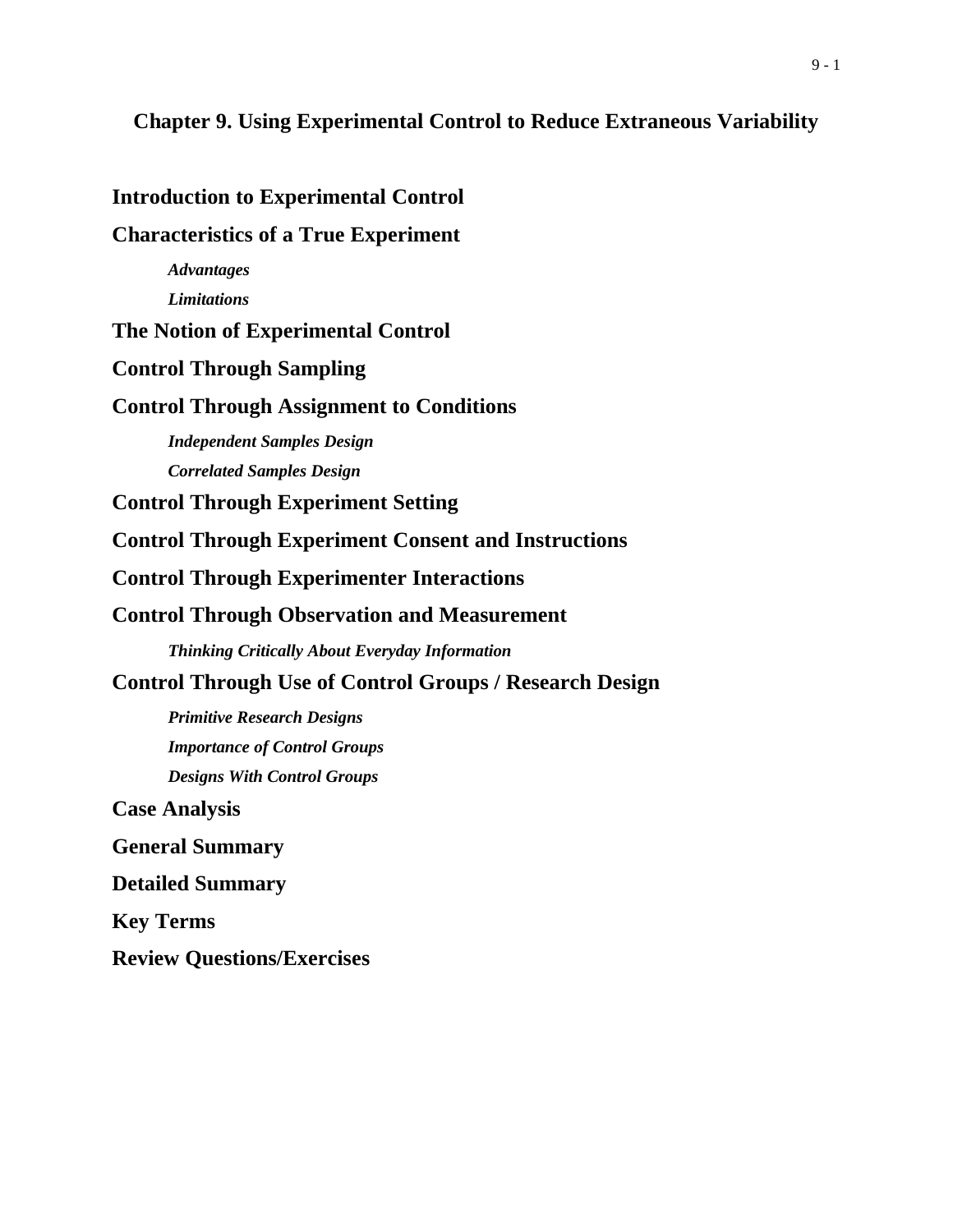# **Chapter 9. Using Experimental Control to Reduce Extraneous Variability**

**Introduction to Experimental Control Characteristics of a True Experiment** *Advantages Limitations* **The Notion of Experimental Control Control Through Sampling Control Through Assignment to Conditions** *Independent Samples Design Correlated Samples Design* **Control Through Experiment Setting Control Through Experiment Consent and Instructions Control Through Experimenter Interactions Control Through Observation and Measurement** *Thinking Critically About Everyday Information* **Control Through Use of Control Groups / Research Design** *Primitive Research Designs Importance of Control Groups Designs With Control Groups* **Case Analysis General Summary Detailed Summary Key Terms Review Questions/Exercises**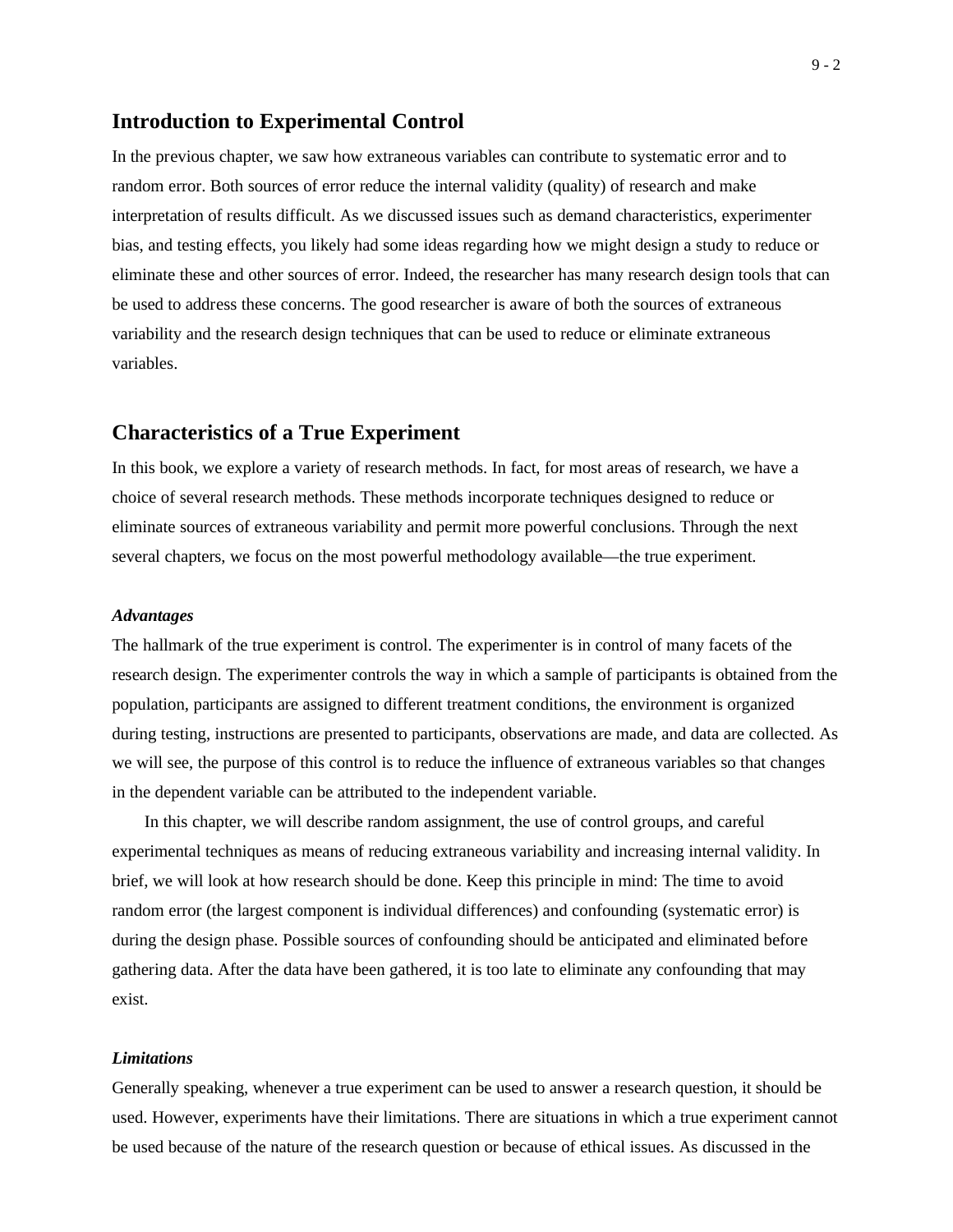### **Introduction to Experimental Control**

In the previous chapter, we saw how extraneous variables can contribute to systematic error and to random error. Both sources of error reduce the internal validity (quality) of research and make interpretation of results difficult. As we discussed issues such as demand characteristics, experimenter bias, and testing effects, you likely had some ideas regarding how we might design a study to reduce or eliminate these and other sources of error. Indeed, the researcher has many research design tools that can be used to address these concerns. The good researcher is aware of both the sources of extraneous variability and the research design techniques that can be used to reduce or eliminate extraneous variables.

### **Characteristics of a True Experiment**

In this book, we explore a variety of research methods. In fact, for most areas of research, we have a choice of several research methods. These methods incorporate techniques designed to reduce or eliminate sources of extraneous variability and permit more powerful conclusions. Through the next several chapters, we focus on the most powerful methodology available—the true experiment.

#### *Advantages*

The hallmark of the true experiment is control. The experimenter is in control of many facets of the research design. The experimenter controls the way in which a sample of participants is obtained from the population, participants are assigned to different treatment conditions, the environment is organized during testing, instructions are presented to participants, observations are made, and data are collected. As we will see, the purpose of this control is to reduce the influence of extraneous variables so that changes in the dependent variable can be attributed to the independent variable.

In this chapter, we will describe random assignment, the use of control groups, and careful experimental techniques as means of reducing extraneous variability and increasing internal validity. In brief, we will look at how research should be done. Keep this principle in mind: The time to avoid random error (the largest component is individual differences) and confounding (systematic error) is during the design phase. Possible sources of confounding should be anticipated and eliminated before gathering data. After the data have been gathered, it is too late to eliminate any confounding that may exist.

#### *Limitations*

Generally speaking, whenever a true experiment can be used to answer a research question, it should be used. However, experiments have their limitations. There are situations in which a true experiment cannot be used because of the nature of the research question or because of ethical issues. As discussed in the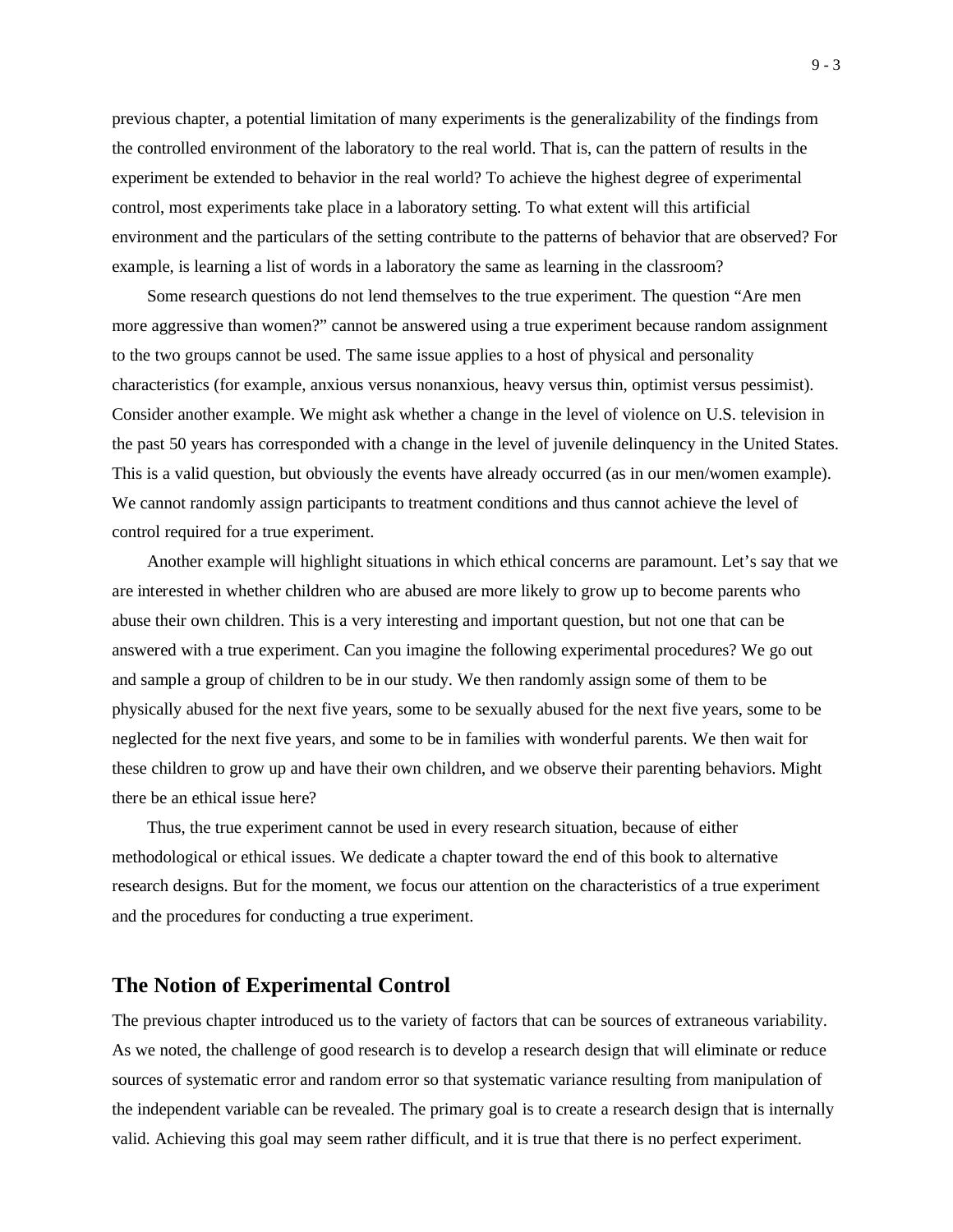previous chapter, a potential limitation of many experiments is the generalizability of the findings from the controlled environment of the laboratory to the real world. That is, can the pattern of results in the experiment be extended to behavior in the real world? To achieve the highest degree of experimental control, most experiments take place in a laboratory setting. To what extent will this artificial environment and the particulars of the setting contribute to the patterns of behavior that are observed? For example, is learning a list of words in a laboratory the same as learning in the classroom?

Some research questions do not lend themselves to the true experiment. The question "Are men more aggressive than women?" cannot be answered using a true experiment because random assignment to the two groups cannot be used. The same issue applies to a host of physical and personality characteristics (for example, anxious versus nonanxious, heavy versus thin, optimist versus pessimist). Consider another example. We might ask whether a change in the level of violence on U.S. television in the past 50 years has corresponded with a change in the level of juvenile delinquency in the United States. This is a valid question, but obviously the events have already occurred (as in our men/women example). We cannot randomly assign participants to treatment conditions and thus cannot achieve the level of control required for a true experiment.

Another example will highlight situations in which ethical concerns are paramount. Let's say that we are interested in whether children who are abused are more likely to grow up to become parents who abuse their own children. This is a very interesting and important question, but not one that can be answered with a true experiment. Can you imagine the following experimental procedures? We go out and sample a group of children to be in our study. We then randomly assign some of them to be physically abused for the next five years, some to be sexually abused for the next five years, some to be neglected for the next five years, and some to be in families with wonderful parents. We then wait for these children to grow up and have their own children, and we observe their parenting behaviors. Might there be an ethical issue here?

Thus, the true experiment cannot be used in every research situation, because of either methodological or ethical issues. We dedicate a chapter toward the end of this book to alternative research designs. But for the moment, we focus our attention on the characteristics of a true experiment and the procedures for conducting a true experiment.

### **The Notion of Experimental Control**

The previous chapter introduced us to the variety of factors that can be sources of extraneous variability. As we noted, the challenge of good research is to develop a research design that will eliminate or reduce sources of systematic error and random error so that systematic variance resulting from manipulation of the independent variable can be revealed. The primary goal is to create a research design that is internally valid. Achieving this goal may seem rather difficult, and it is true that there is no perfect experiment.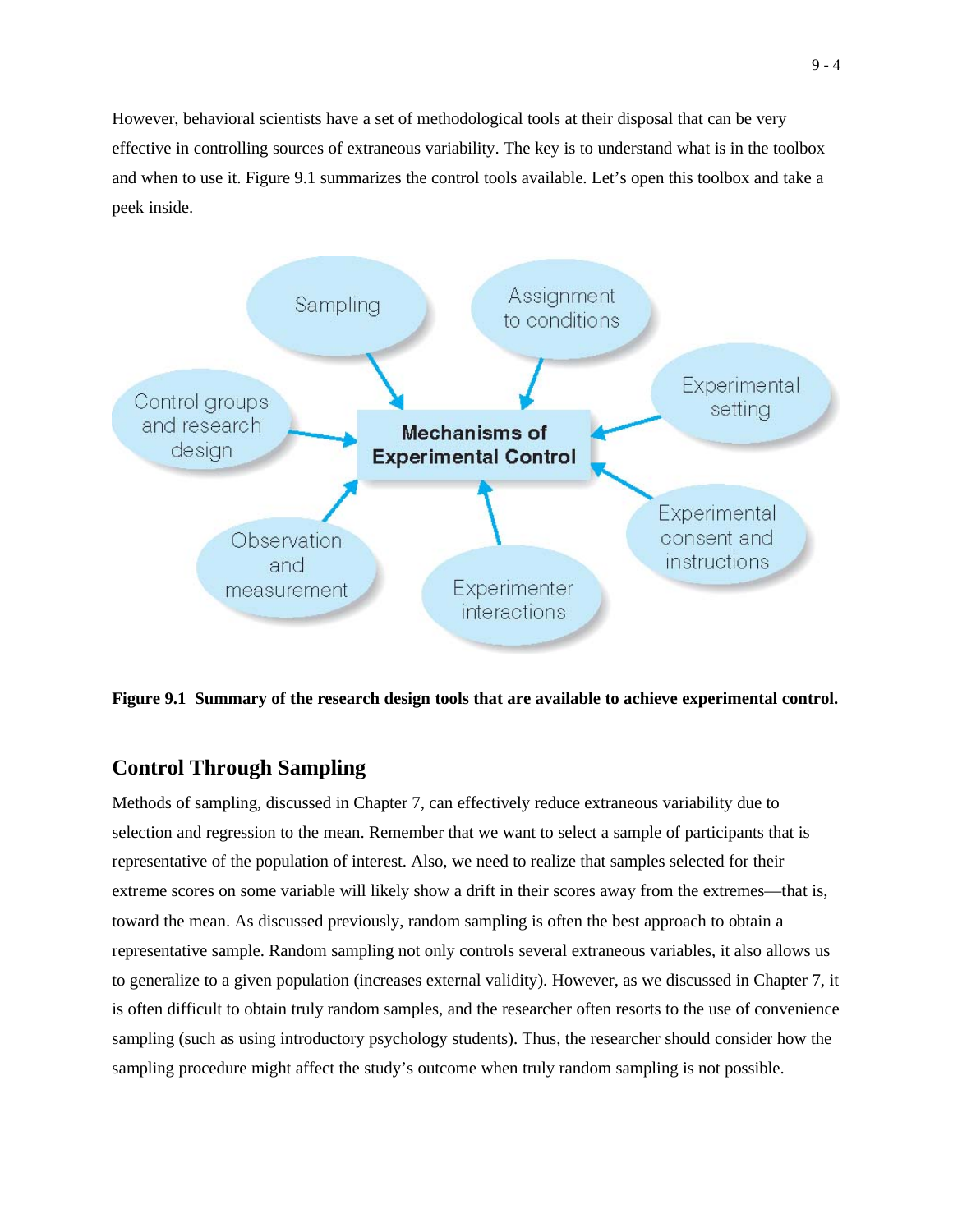However, behavioral scientists have a set of methodological tools at their disposal that can be very effective in controlling sources of extraneous variability. The key is to understand what is in the toolbox and when to use it. Figure 9.1 summarizes the control tools available. Let's open this toolbox and take a peek inside.





# **Control Through Sampling**

Methods of sampling, discussed in Chapter 7, can effectively reduce extraneous variability due to selection and regression to the mean. Remember that we want to select a sample of participants that is representative of the population of interest. Also, we need to realize that samples selected for their extreme scores on some variable will likely show a drift in their scores away from the extremes—that is, toward the mean. As discussed previously, random sampling is often the best approach to obtain a representative sample. Random sampling not only controls several extraneous variables, it also allows us to generalize to a given population (increases external validity). However, as we discussed in Chapter 7, it is often difficult to obtain truly random samples, and the researcher often resorts to the use of convenience sampling (such as using introductory psychology students). Thus, the researcher should consider how the sampling procedure might affect the study's outcome when truly random sampling is not possible.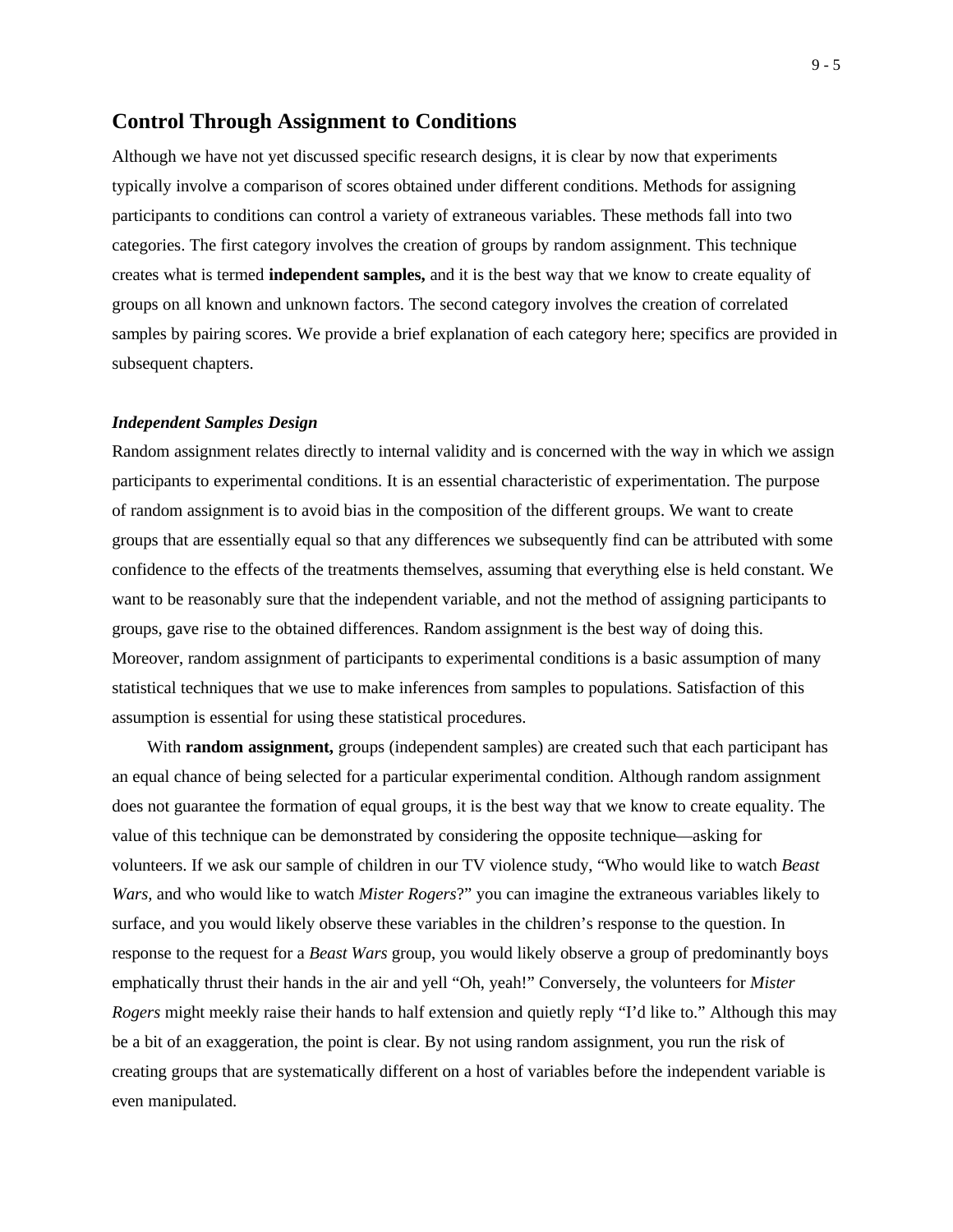### **Control Through Assignment to Conditions**

Although we have not yet discussed specific research designs, it is clear by now that experiments typically involve a comparison of scores obtained under different conditions. Methods for assigning participants to conditions can control a variety of extraneous variables. These methods fall into two categories. The first category involves the creation of groups by random assignment. This technique creates what is termed **independent samples,** and it is the best way that we know to create equality of groups on all known and unknown factors. The second category involves the creation of correlated samples by pairing scores. We provide a brief explanation of each category here; specifics are provided in subsequent chapters.

#### *Independent Samples Design*

Random assignment relates directly to internal validity and is concerned with the way in which we assign participants to experimental conditions. It is an essential characteristic of experimentation. The purpose of random assignment is to avoid bias in the composition of the different groups. We want to create groups that are essentially equal so that any differences we subsequently find can be attributed with some confidence to the effects of the treatments themselves, assuming that everything else is held constant. We want to be reasonably sure that the independent variable, and not the method of assigning participants to groups, gave rise to the obtained differences. Random assignment is the best way of doing this. Moreover, random assignment of participants to experimental conditions is a basic assumption of many statistical techniques that we use to make inferences from samples to populations. Satisfaction of this assumption is essential for using these statistical procedures.

With **random assignment,** groups (independent samples) are created such that each participant has an equal chance of being selected for a particular experimental condition. Although random assignment does not guarantee the formation of equal groups, it is the best way that we know to create equality. The value of this technique can be demonstrated by considering the opposite technique—asking for volunteers. If we ask our sample of children in our TV violence study, "Who would like to watch *Beast Wars,* and who would like to watch *Mister Rogers*?" you can imagine the extraneous variables likely to surface, and you would likely observe these variables in the children's response to the question. In response to the request for a *Beast Wars* group, you would likely observe a group of predominantly boys emphatically thrust their hands in the air and yell "Oh, yeah!" Conversely, the volunteers for *Mister Rogers* might meekly raise their hands to half extension and quietly reply "I'd like to." Although this may be a bit of an exaggeration, the point is clear. By not using random assignment, you run the risk of creating groups that are systematically different on a host of variables before the independent variable is even manipulated.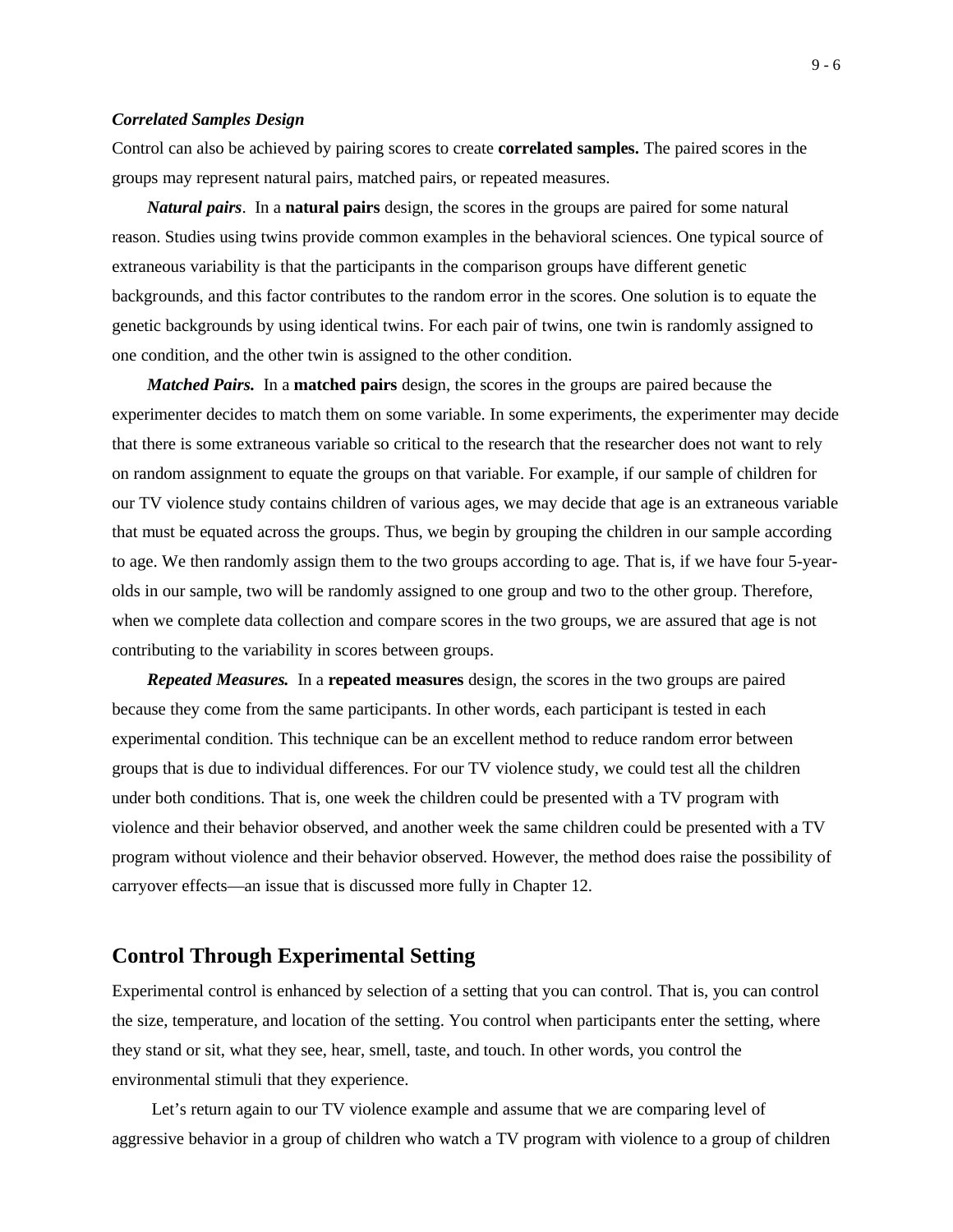#### *Correlated Samples Design*

Control can also be achieved by pairing scores to create **correlated samples.** The paired scores in the groups may represent natural pairs, matched pairs, or repeated measures.

*Natural pairs*. In a **natural pairs** design, the scores in the groups are paired for some natural reason. Studies using twins provide common examples in the behavioral sciences. One typical source of extraneous variability is that the participants in the comparison groups have different genetic backgrounds, and this factor contributes to the random error in the scores. One solution is to equate the genetic backgrounds by using identical twins. For each pair of twins, one twin is randomly assigned to one condition, and the other twin is assigned to the other condition.

*Matched Pairs.* In a **matched pairs** design, the scores in the groups are paired because the experimenter decides to match them on some variable. In some experiments, the experimenter may decide that there is some extraneous variable so critical to the research that the researcher does not want to rely on random assignment to equate the groups on that variable. For example, if our sample of children for our TV violence study contains children of various ages, we may decide that age is an extraneous variable that must be equated across the groups. Thus, we begin by grouping the children in our sample according to age. We then randomly assign them to the two groups according to age. That is, if we have four 5-yearolds in our sample, two will be randomly assigned to one group and two to the other group. Therefore, when we complete data collection and compare scores in the two groups, we are assured that age is not contributing to the variability in scores between groups.

*Repeated Measures.* In a **repeated measures** design, the scores in the two groups are paired because they come from the same participants. In other words, each participant is tested in each experimental condition. This technique can be an excellent method to reduce random error between groups that is due to individual differences. For our TV violence study, we could test all the children under both conditions. That is, one week the children could be presented with a TV program with violence and their behavior observed, and another week the same children could be presented with a TV program without violence and their behavior observed. However, the method does raise the possibility of carryover effects—an issue that is discussed more fully in Chapter 12.

### **Control Through Experimental Setting**

Experimental control is enhanced by selection of a setting that you can control. That is, you can control the size, temperature, and location of the setting. You control when participants enter the setting, where they stand or sit, what they see, hear, smell, taste, and touch. In other words, you control the environmental stimuli that they experience.

Let's return again to our TV violence example and assume that we are comparing level of aggressive behavior in a group of children who watch a TV program with violence to a group of children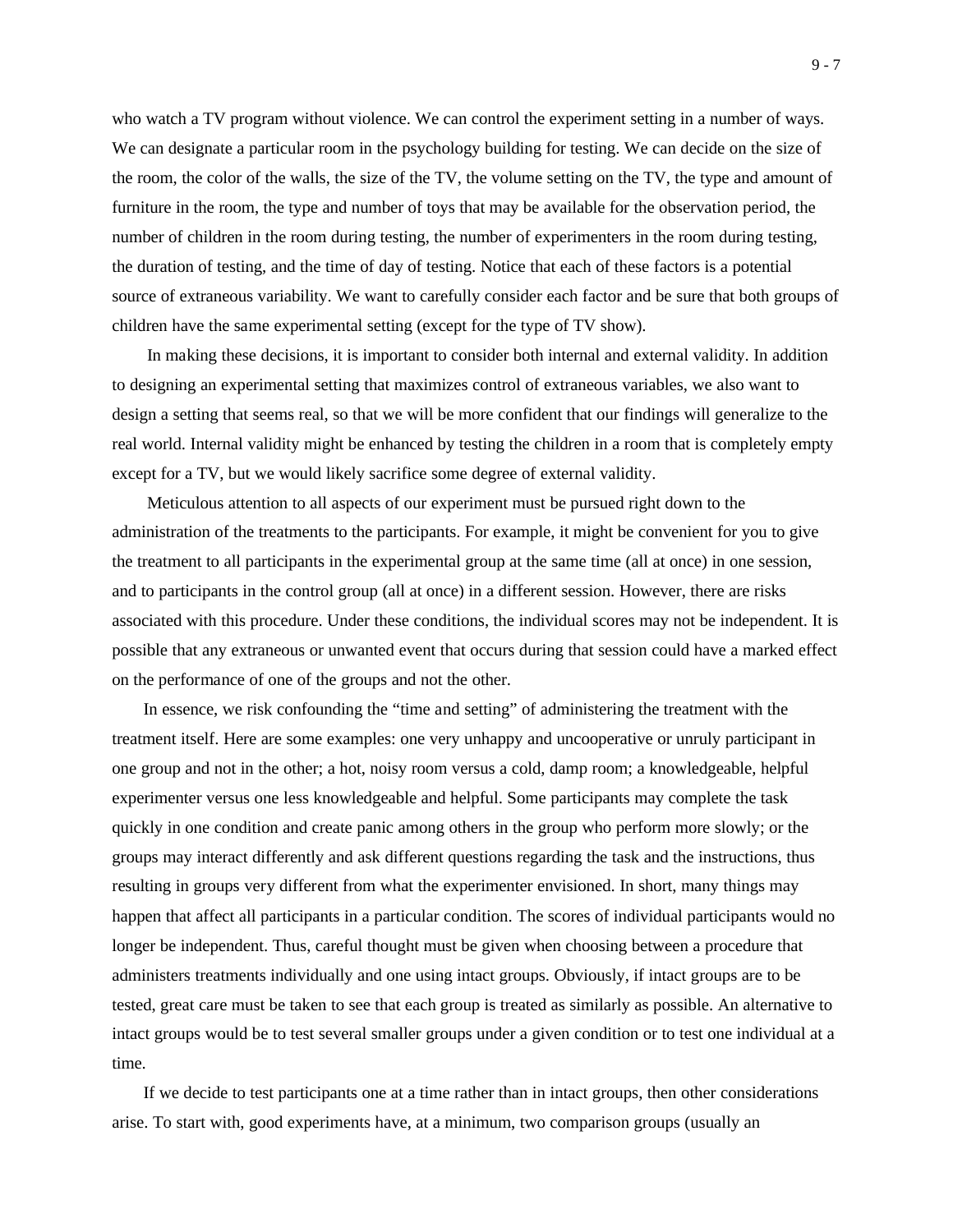who watch a TV program without violence. We can control the experiment setting in a number of ways. We can designate a particular room in the psychology building for testing. We can decide on the size of the room, the color of the walls, the size of the TV, the volume setting on the TV, the type and amount of furniture in the room, the type and number of toys that may be available for the observation period, the number of children in the room during testing, the number of experimenters in the room during testing, the duration of testing, and the time of day of testing. Notice that each of these factors is a potential source of extraneous variability. We want to carefully consider each factor and be sure that both groups of children have the same experimental setting (except for the type of TV show).

In making these decisions, it is important to consider both internal and external validity. In addition to designing an experimental setting that maximizes control of extraneous variables, we also want to design a setting that seems real, so that we will be more confident that our findings will generalize to the real world. Internal validity might be enhanced by testing the children in a room that is completely empty except for a TV, but we would likely sacrifice some degree of external validity.

Meticulous attention to all aspects of our experiment must be pursued right down to the administration of the treatments to the participants. For example, it might be convenient for you to give the treatment to all participants in the experimental group at the same time (all at once) in one session, and to participants in the control group (all at once) in a different session. However, there are risks associated with this procedure. Under these conditions, the individual scores may not be independent. It is possible that any extraneous or unwanted event that occurs during that session could have a marked effect on the performance of one of the groups and not the other.

In essence, we risk confounding the "time and setting" of administering the treatment with the treatment itself. Here are some examples: one very unhappy and uncooperative or unruly participant in one group and not in the other; a hot, noisy room versus a cold, damp room; a knowledgeable, helpful experimenter versus one less knowledgeable and helpful. Some participants may complete the task quickly in one condition and create panic among others in the group who perform more slowly; or the groups may interact differently and ask different questions regarding the task and the instructions, thus resulting in groups very different from what the experimenter envisioned. In short, many things may happen that affect all participants in a particular condition. The scores of individual participants would no longer be independent. Thus, careful thought must be given when choosing between a procedure that administers treatments individually and one using intact groups. Obviously, if intact groups are to be tested, great care must be taken to see that each group is treated as similarly as possible. An alternative to intact groups would be to test several smaller groups under a given condition or to test one individual at a time.

If we decide to test participants one at a time rather than in intact groups, then other considerations arise. To start with, good experiments have, at a minimum, two comparison groups (usually an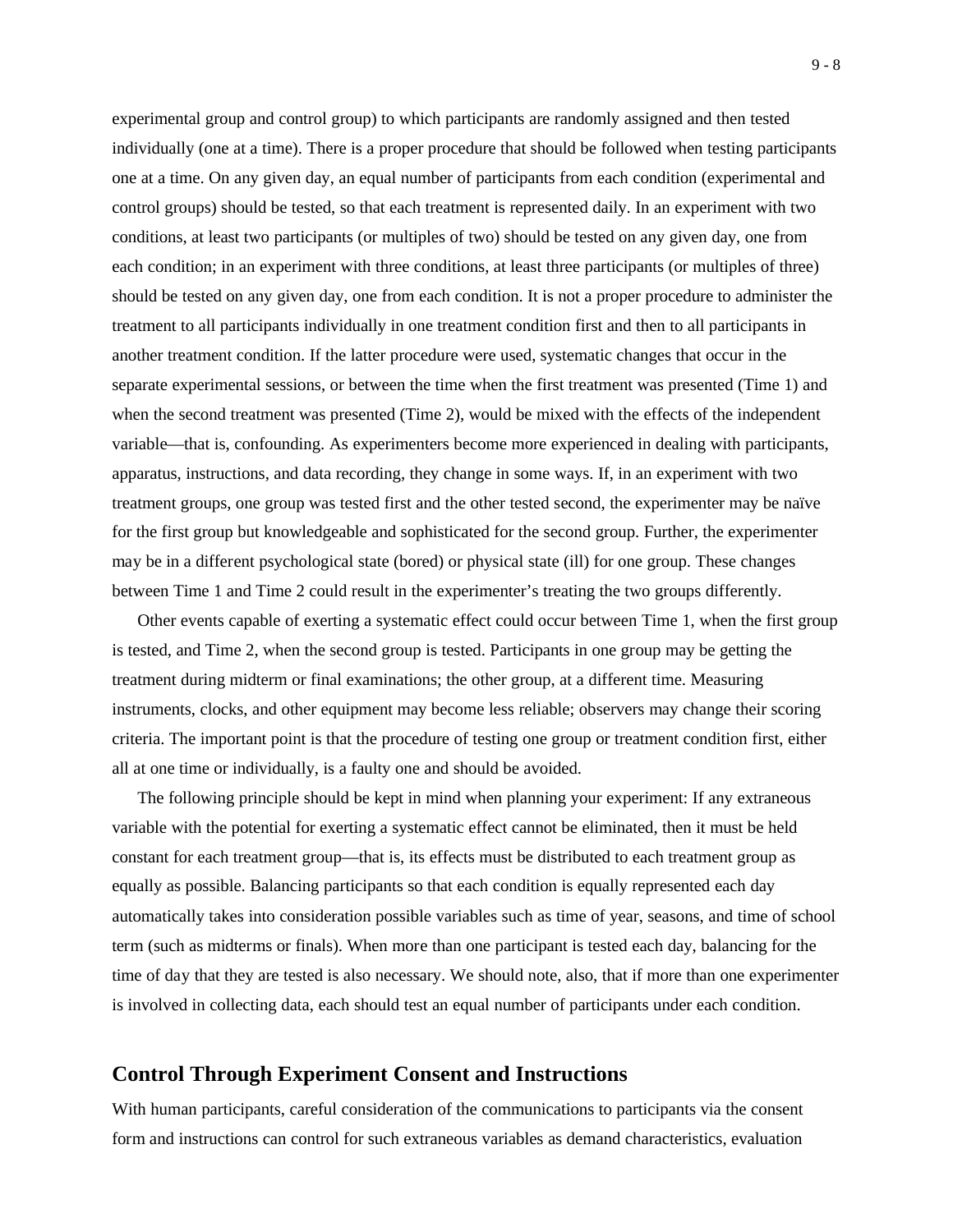experimental group and control group) to which participants are randomly assigned and then tested individually (one at a time). There is a proper procedure that should be followed when testing participants one at a time. On any given day, an equal number of participants from each condition (experimental and control groups) should be tested, so that each treatment is represented daily. In an experiment with two conditions, at least two participants (or multiples of two) should be tested on any given day, one from each condition; in an experiment with three conditions, at least three participants (or multiples of three) should be tested on any given day, one from each condition. It is not a proper procedure to administer the treatment to all participants individually in one treatment condition first and then to all participants in another treatment condition. If the latter procedure were used, systematic changes that occur in the separate experimental sessions, or between the time when the first treatment was presented (Time 1) and when the second treatment was presented (Time 2), would be mixed with the effects of the independent variable—that is, confounding. As experimenters become more experienced in dealing with participants, apparatus, instructions, and data recording, they change in some ways. If, in an experiment with two treatment groups, one group was tested first and the other tested second, the experimenter may be naïve for the first group but knowledgeable and sophisticated for the second group. Further, the experimenter may be in a different psychological state (bored) or physical state (ill) for one group. These changes between Time 1 and Time 2 could result in the experimenter's treating the two groups differently.

Other events capable of exerting a systematic effect could occur between Time 1, when the first group is tested, and Time 2, when the second group is tested. Participants in one group may be getting the treatment during midterm or final examinations; the other group, at a different time. Measuring instruments, clocks, and other equipment may become less reliable; observers may change their scoring criteria. The important point is that the procedure of testing one group or treatment condition first, either all at one time or individually, is a faulty one and should be avoided.

The following principle should be kept in mind when planning your experiment: If any extraneous variable with the potential for exerting a systematic effect cannot be eliminated, then it must be held constant for each treatment group—that is, its effects must be distributed to each treatment group as equally as possible. Balancing participants so that each condition is equally represented each day automatically takes into consideration possible variables such as time of year, seasons, and time of school term (such as midterms or finals). When more than one participant is tested each day, balancing for the time of day that they are tested is also necessary. We should note, also, that if more than one experimenter is involved in collecting data, each should test an equal number of participants under each condition.

### **Control Through Experiment Consent and Instructions**

With human participants, careful consideration of the communications to participants via the consent form and instructions can control for such extraneous variables as demand characteristics, evaluation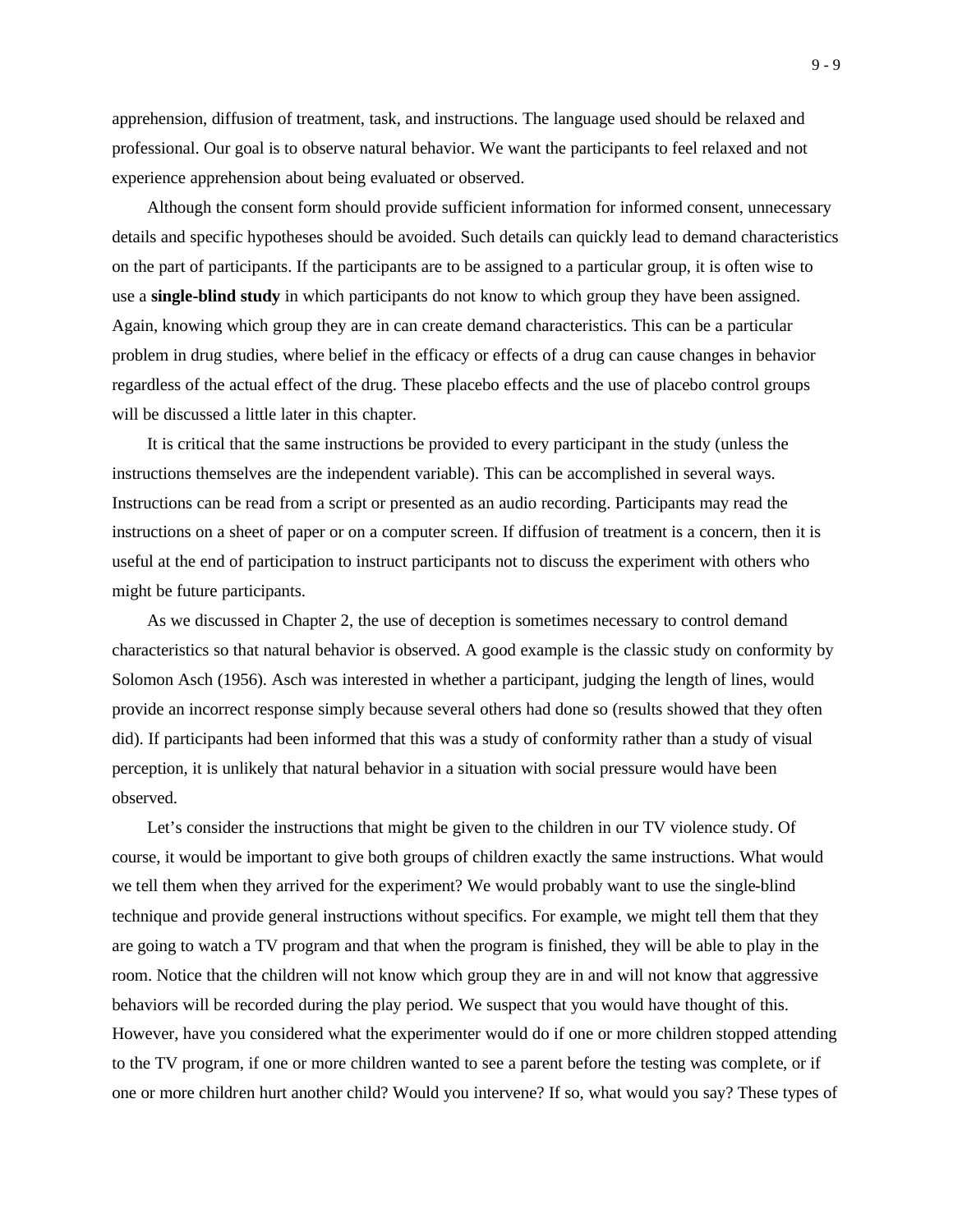apprehension, diffusion of treatment, task, and instructions. The language used should be relaxed and professional. Our goal is to observe natural behavior. We want the participants to feel relaxed and not experience apprehension about being evaluated or observed.

Although the consent form should provide sufficient information for informed consent, unnecessary details and specific hypotheses should be avoided. Such details can quickly lead to demand characteristics on the part of participants. If the participants are to be assigned to a particular group, it is often wise to use a **single-blind study** in which participants do not know to which group they have been assigned. Again, knowing which group they are in can create demand characteristics. This can be a particular problem in drug studies, where belief in the efficacy or effects of a drug can cause changes in behavior regardless of the actual effect of the drug. These placebo effects and the use of placebo control groups will be discussed a little later in this chapter.

It is critical that the same instructions be provided to every participant in the study (unless the instructions themselves are the independent variable). This can be accomplished in several ways. Instructions can be read from a script or presented as an audio recording. Participants may read the instructions on a sheet of paper or on a computer screen. If diffusion of treatment is a concern, then it is useful at the end of participation to instruct participants not to discuss the experiment with others who might be future participants.

As we discussed in Chapter 2, the use of deception is sometimes necessary to control demand characteristics so that natural behavior is observed. A good example is the classic study on conformity by Solomon Asch (1956). Asch was interested in whether a participant, judging the length of lines, would provide an incorrect response simply because several others had done so (results showed that they often did). If participants had been informed that this was a study of conformity rather than a study of visual perception, it is unlikely that natural behavior in a situation with social pressure would have been observed.

Let's consider the instructions that might be given to the children in our TV violence study. Of course, it would be important to give both groups of children exactly the same instructions. What would we tell them when they arrived for the experiment? We would probably want to use the single-blind technique and provide general instructions without specifics. For example, we might tell them that they are going to watch a TV program and that when the program is finished, they will be able to play in the room. Notice that the children will not know which group they are in and will not know that aggressive behaviors will be recorded during the play period. We suspect that you would have thought of this. However, have you considered what the experimenter would do if one or more children stopped attending to the TV program, if one or more children wanted to see a parent before the testing was complete, or if one or more children hurt another child? Would you intervene? If so, what would you say? These types of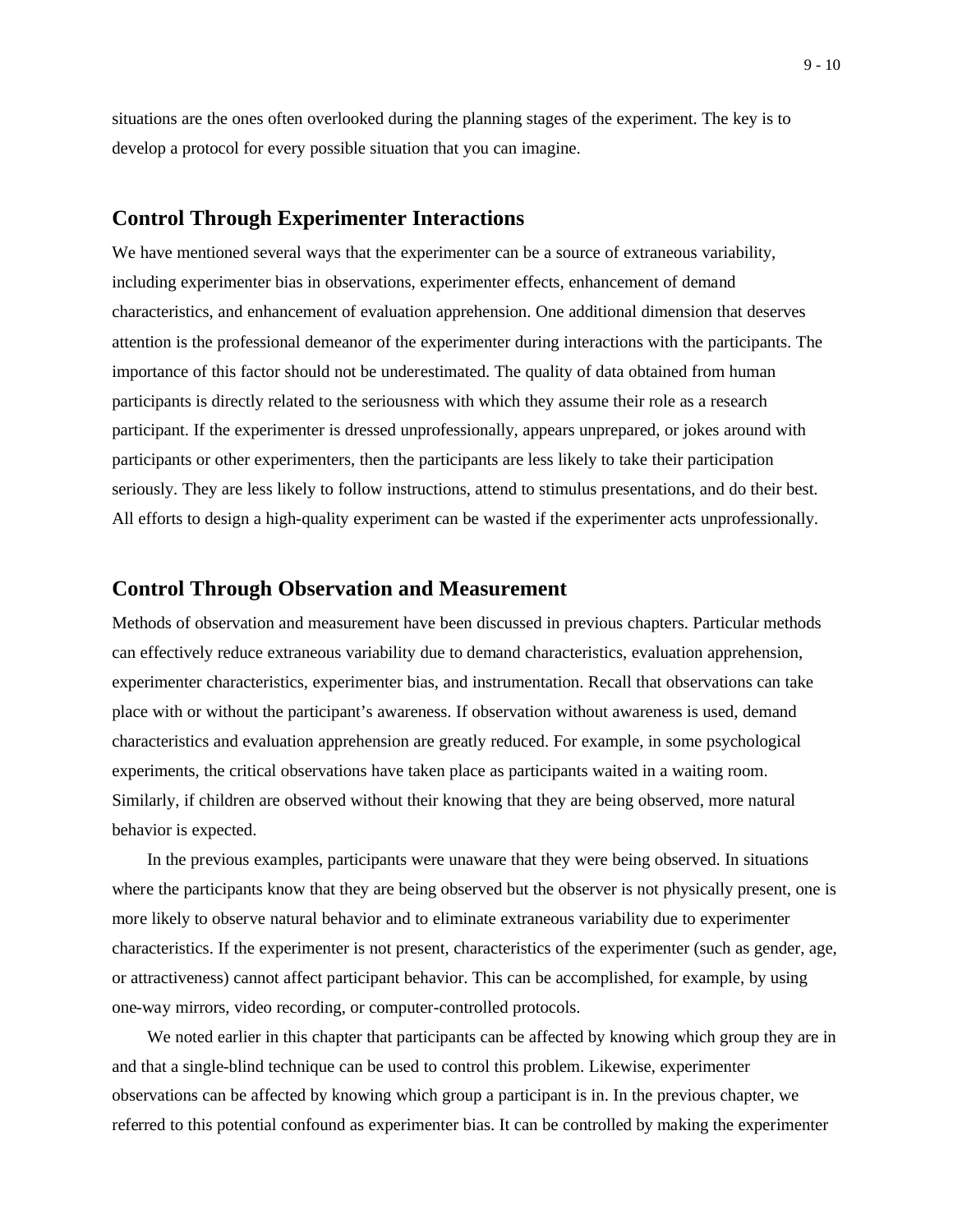situations are the ones often overlooked during the planning stages of the experiment. The key is to develop a protocol for every possible situation that you can imagine.

### **Control Through Experimenter Interactions**

We have mentioned several ways that the experimenter can be a source of extraneous variability, including experimenter bias in observations, experimenter effects, enhancement of demand characteristics, and enhancement of evaluation apprehension. One additional dimension that deserves attention is the professional demeanor of the experimenter during interactions with the participants. The importance of this factor should not be underestimated. The quality of data obtained from human participants is directly related to the seriousness with which they assume their role as a research participant. If the experimenter is dressed unprofessionally, appears unprepared, or jokes around with participants or other experimenters, then the participants are less likely to take their participation seriously. They are less likely to follow instructions, attend to stimulus presentations, and do their best. All efforts to design a high-quality experiment can be wasted if the experimenter acts unprofessionally.

### **Control Through Observation and Measurement**

Methods of observation and measurement have been discussed in previous chapters. Particular methods can effectively reduce extraneous variability due to demand characteristics, evaluation apprehension, experimenter characteristics, experimenter bias, and instrumentation. Recall that observations can take place with or without the participant's awareness. If observation without awareness is used, demand characteristics and evaluation apprehension are greatly reduced. For example, in some psychological experiments, the critical observations have taken place as participants waited in a waiting room. Similarly, if children are observed without their knowing that they are being observed, more natural behavior is expected.

In the previous examples, participants were unaware that they were being observed. In situations where the participants know that they are being observed but the observer is not physically present, one is more likely to observe natural behavior and to eliminate extraneous variability due to experimenter characteristics. If the experimenter is not present, characteristics of the experimenter (such as gender, age, or attractiveness) cannot affect participant behavior. This can be accomplished, for example, by using one-way mirrors, video recording, or computer-controlled protocols.

We noted earlier in this chapter that participants can be affected by knowing which group they are in and that a single-blind technique can be used to control this problem. Likewise, experimenter observations can be affected by knowing which group a participant is in. In the previous chapter, we referred to this potential confound as experimenter bias. It can be controlled by making the experimenter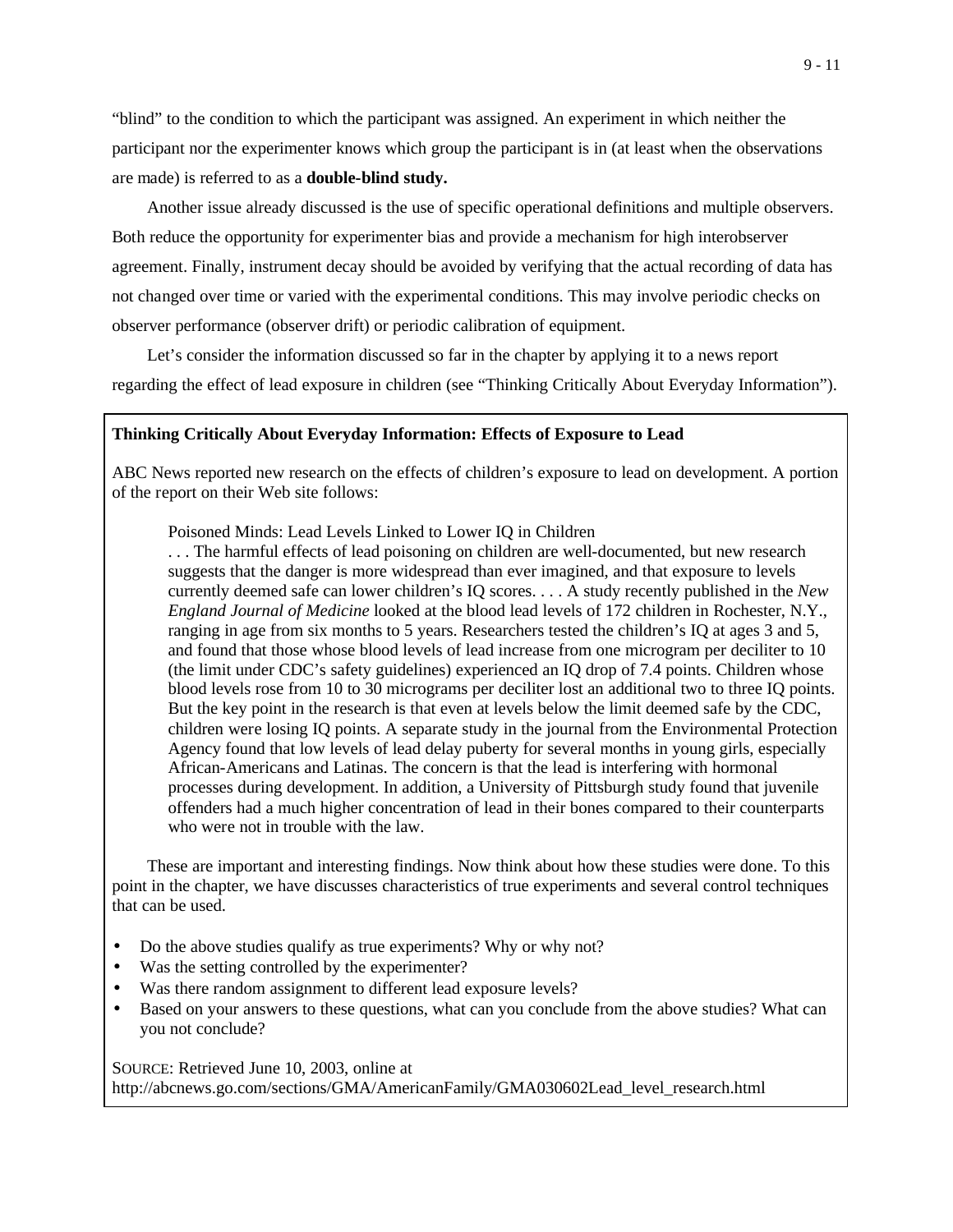"blind" to the condition to which the participant was assigned. An experiment in which neither the participant nor the experimenter knows which group the participant is in (at least when the observations are made) is referred to as a **double-blind study.**

Another issue already discussed is the use of specific operational definitions and multiple observers. Both reduce the opportunity for experimenter bias and provide a mechanism for high interobserver agreement. Finally, instrument decay should be avoided by verifying that the actual recording of data has not changed over time or varied with the experimental conditions. This may involve periodic checks on observer performance (observer drift) or periodic calibration of equipment.

Let's consider the information discussed so far in the chapter by applying it to a news report regarding the effect of lead exposure in children (see "Thinking Critically About Everyday Information").

#### **Thinking Critically About Everyday Information: Effects of Exposure to Lead**

ABC News reported new research on the effects of children's exposure to lead on development. A portion of the report on their Web site follows:

Poisoned Minds: Lead Levels Linked to Lower IQ in Children

. . . The harmful effects of lead poisoning on children are well-documented, but new research suggests that the danger is more widespread than ever imagined, and that exposure to levels currently deemed safe can lower children's IQ scores. . . . A study recently published in the *New England Journal of Medicine* looked at the blood lead levels of 172 children in Rochester, N.Y., ranging in age from six months to 5 years. Researchers tested the children's IQ at ages 3 and 5, and found that those whose blood levels of lead increase from one microgram per deciliter to 10 (the limit under CDC's safety guidelines) experienced an IQ drop of 7.4 points. Children whose blood levels rose from 10 to 30 micrograms per deciliter lost an additional two to three IQ points. But the key point in the research is that even at levels below the limit deemed safe by the CDC, children were losing IQ points. A separate study in the journal from the Environmental Protection Agency found that low levels of lead delay puberty for several months in young girls, especially African-Americans and Latinas. The concern is that the lead is interfering with hormonal processes during development. In addition, a University of Pittsburgh study found that juvenile offenders had a much higher concentration of lead in their bones compared to their counterparts who were not in trouble with the law.

These are important and interesting findings. Now think about how these studies were done. To this point in the chapter, we have discusses characteristics of true experiments and several control techniques that can be used.

- Do the above studies qualify as true experiments? Why or why not?
- Was the setting controlled by the experimenter?
- Was there random assignment to different lead exposure levels?
- Based on your answers to these questions, what can you conclude from the above studies? What can you not conclude?

SOURCE: Retrieved June 10, 2003, online at http://abcnews.go.com/sections/GMA/AmericanFamily/GMA030602Lead\_level\_research.html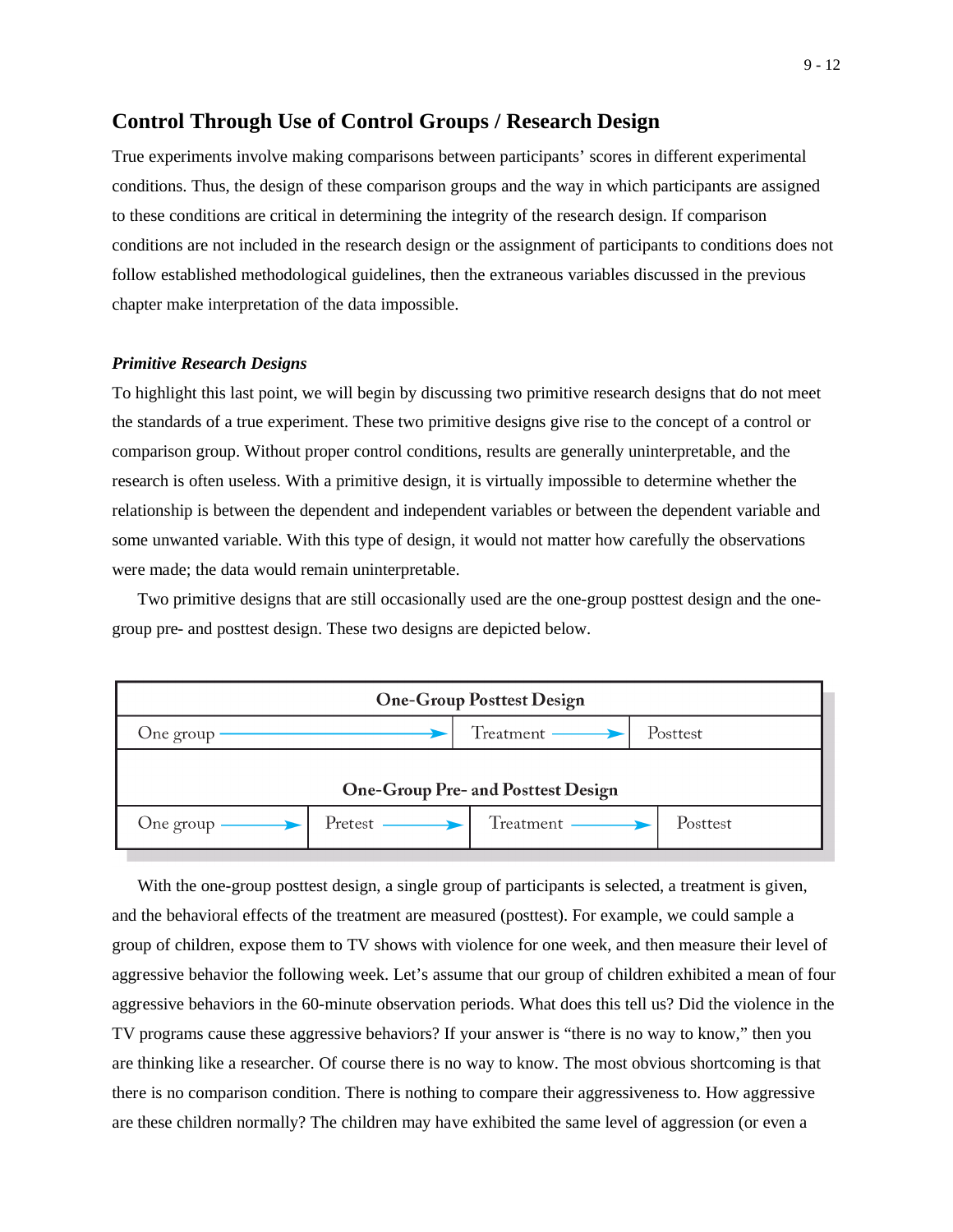### **Control Through Use of Control Groups / Research Design**

True experiments involve making comparisons between participants' scores in different experimental conditions. Thus, the design of these comparison groups and the way in which participants are assigned to these conditions are critical in determining the integrity of the research design. If comparison conditions are not included in the research design or the assignment of participants to conditions does not follow established methodological guidelines, then the extraneous variables discussed in the previous chapter make interpretation of the data impossible.

#### *Primitive Research Designs*

To highlight this last point, we will begin by discussing two primitive research designs that do not meet the standards of a true experiment. These two primitive designs give rise to the concept of a control or comparison group. Without proper control conditions, results are generally uninterpretable, and the research is often useless. With a primitive design, it is virtually impossible to determine whether the relationship is between the dependent and independent variables or between the dependent variable and some unwanted variable. With this type of design, it would not matter how carefully the observations were made; the data would remain uninterpretable.

Two primitive designs that are still occasionally used are the one-group posttest design and the onegroup pre- and posttest design. These two designs are depicted below.



With the one-group posttest design, a single group of participants is selected, a treatment is given, and the behavioral effects of the treatment are measured (posttest). For example, we could sample a group of children, expose them to TV shows with violence for one week, and then measure their level of aggressive behavior the following week. Let's assume that our group of children exhibited a mean of four aggressive behaviors in the 60-minute observation periods. What does this tell us? Did the violence in the TV programs cause these aggressive behaviors? If your answer is "there is no way to know," then you are thinking like a researcher. Of course there is no way to know. The most obvious shortcoming is that there is no comparison condition. There is nothing to compare their aggressiveness to. How aggressive are these children normally? The children may have exhibited the same level of aggression (or even a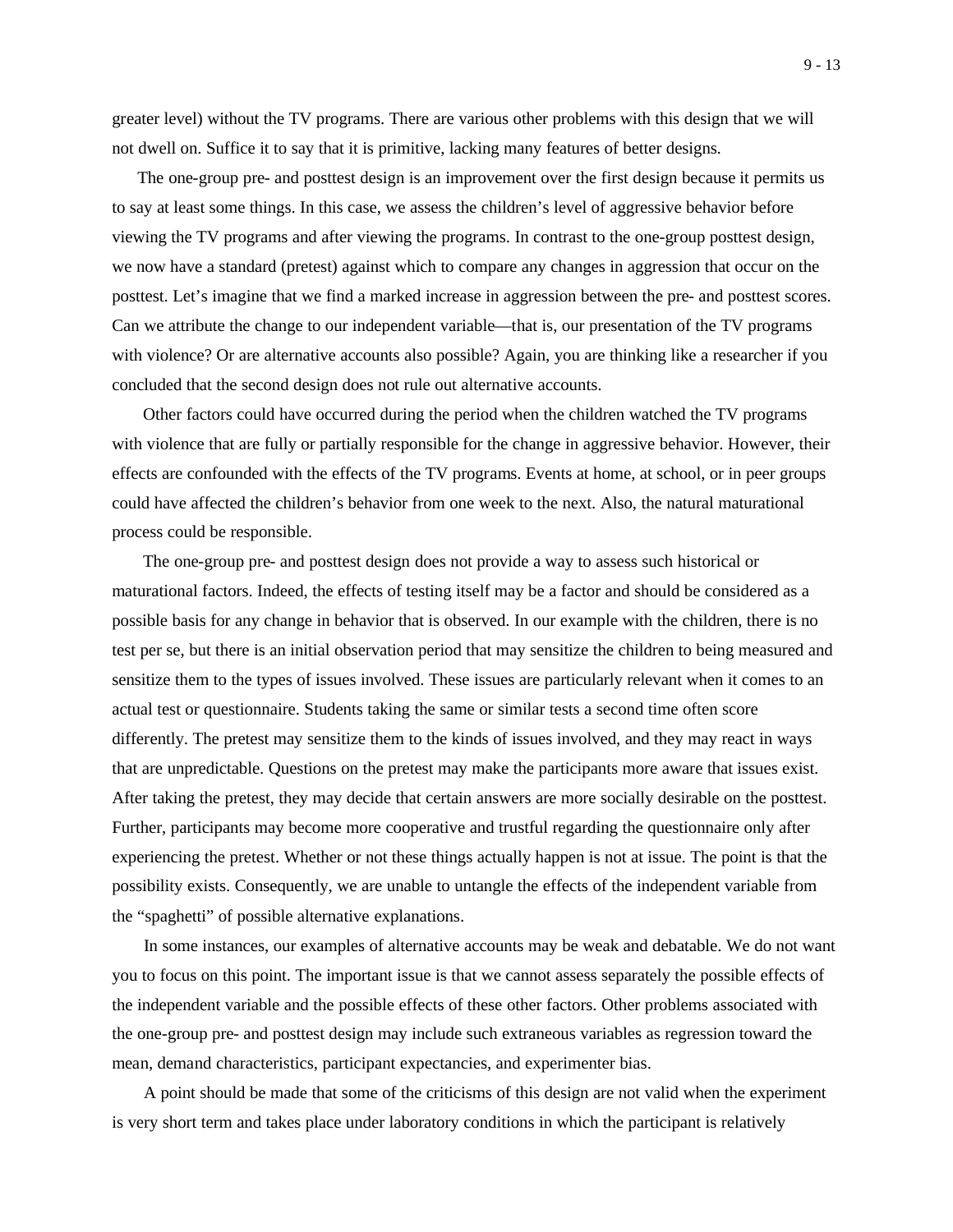greater level) without the TV programs. There are various other problems with this design that we will not dwell on. Suffice it to say that it is primitive, lacking many features of better designs.

The one-group pre- and posttest design is an improvement over the first design because it permits us to say at least some things. In this case, we assess the children's level of aggressive behavior before viewing the TV programs and after viewing the programs. In contrast to the one-group posttest design, we now have a standard (pretest) against which to compare any changes in aggression that occur on the posttest. Let's imagine that we find a marked increase in aggression between the pre- and posttest scores. Can we attribute the change to our independent variable—that is, our presentation of the TV programs with violence? Or are alternative accounts also possible? Again, you are thinking like a researcher if you concluded that the second design does not rule out alternative accounts.

Other factors could have occurred during the period when the children watched the TV programs with violence that are fully or partially responsible for the change in aggressive behavior. However, their effects are confounded with the effects of the TV programs. Events at home, at school, or in peer groups could have affected the children's behavior from one week to the next. Also, the natural maturational process could be responsible.

The one-group pre- and posttest design does not provide a way to assess such historical or maturational factors. Indeed, the effects of testing itself may be a factor and should be considered as a possible basis for any change in behavior that is observed. In our example with the children, there is no test per se, but there is an initial observation period that may sensitize the children to being measured and sensitize them to the types of issues involved. These issues are particularly relevant when it comes to an actual test or questionnaire. Students taking the same or similar tests a second time often score differently. The pretest may sensitize them to the kinds of issues involved, and they may react in ways that are unpredictable. Questions on the pretest may make the participants more aware that issues exist. After taking the pretest, they may decide that certain answers are more socially desirable on the posttest. Further, participants may become more cooperative and trustful regarding the questionnaire only after experiencing the pretest. Whether or not these things actually happen is not at issue. The point is that the possibility exists. Consequently, we are unable to untangle the effects of the independent variable from the "spaghetti" of possible alternative explanations.

In some instances, our examples of alternative accounts may be weak and debatable. We do not want you to focus on this point. The important issue is that we cannot assess separately the possible effects of the independent variable and the possible effects of these other factors. Other problems associated with the one-group pre- and posttest design may include such extraneous variables as regression toward the mean, demand characteristics, participant expectancies, and experimenter bias.

A point should be made that some of the criticisms of this design are not valid when the experiment is very short term and takes place under laboratory conditions in which the participant is relatively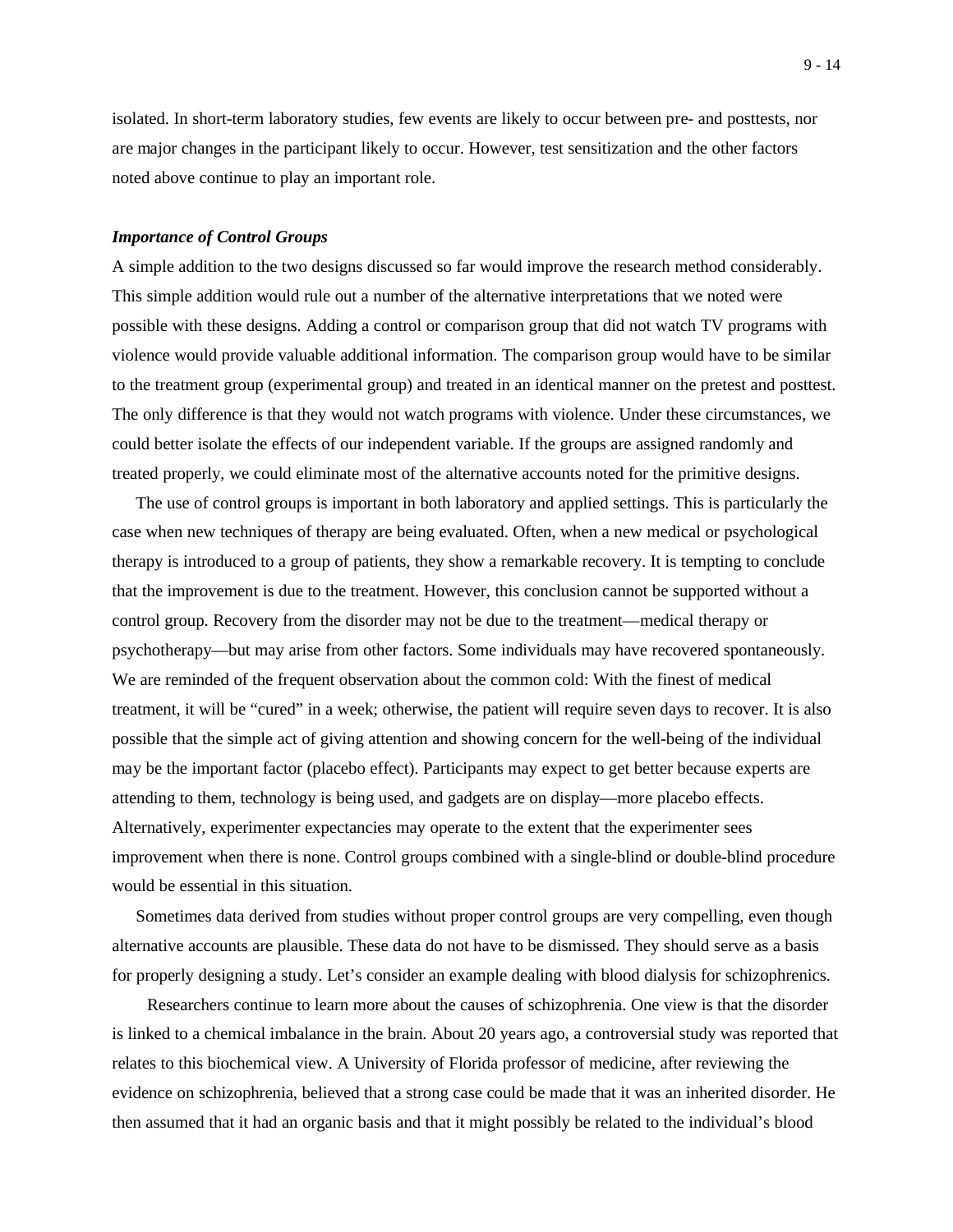isolated. In short-term laboratory studies, few events are likely to occur between pre- and posttests, nor are major changes in the participant likely to occur. However, test sensitization and the other factors noted above continue to play an important role.

#### *Importance of Control Groups*

A simple addition to the two designs discussed so far would improve the research method considerably. This simple addition would rule out a number of the alternative interpretations that we noted were possible with these designs. Adding a control or comparison group that did not watch TV programs with violence would provide valuable additional information. The comparison group would have to be similar to the treatment group (experimental group) and treated in an identical manner on the pretest and posttest. The only difference is that they would not watch programs with violence. Under these circumstances, we could better isolate the effects of our independent variable. If the groups are assigned randomly and treated properly*,* we could eliminate most of the alternative accounts noted for the primitive designs.

The use of control groups is important in both laboratory and applied settings. This is particularly the case when new techniques of therapy are being evaluated. Often, when a new medical or psychological therapy is introduced to a group of patients, they show a remarkable recovery. It is tempting to conclude that the improvement is due to the treatment. However, this conclusion cannot be supported without a control group. Recovery from the disorder may not be due to the treatment—medical therapy or psychotherapy—but may arise from other factors. Some individuals may have recovered spontaneously. We are reminded of the frequent observation about the common cold: With the finest of medical treatment, it will be "cured" in a week; otherwise, the patient will require seven days to recover. It is also possible that the simple act of giving attention and showing concern for the well-being of the individual may be the important factor (placebo effect). Participants may expect to get better because experts are attending to them, technology is being used, and gadgets are on display—more placebo effects. Alternatively, experimenter expectancies may operate to the extent that the experimenter sees improvement when there is none. Control groups combined with a single-blind or double-blind procedure would be essential in this situation.

Sometimes data derived from studies without proper control groups are very compelling, even though alternative accounts are plausible. These data do not have to be dismissed. They should serve as a basis for properly designing a study. Let's consider an example dealing with blood dialysis for schizophrenics.

Researchers continue to learn more about the causes of schizophrenia. One view is that the disorder is linked to a chemical imbalance in the brain. About 20 years ago, a controversial study was reported that relates to this biochemical view. A University of Florida professor of medicine, after reviewing the evidence on schizophrenia, believed that a strong case could be made that it was an inherited disorder. He then assumed that it had an organic basis and that it might possibly be related to the individual's blood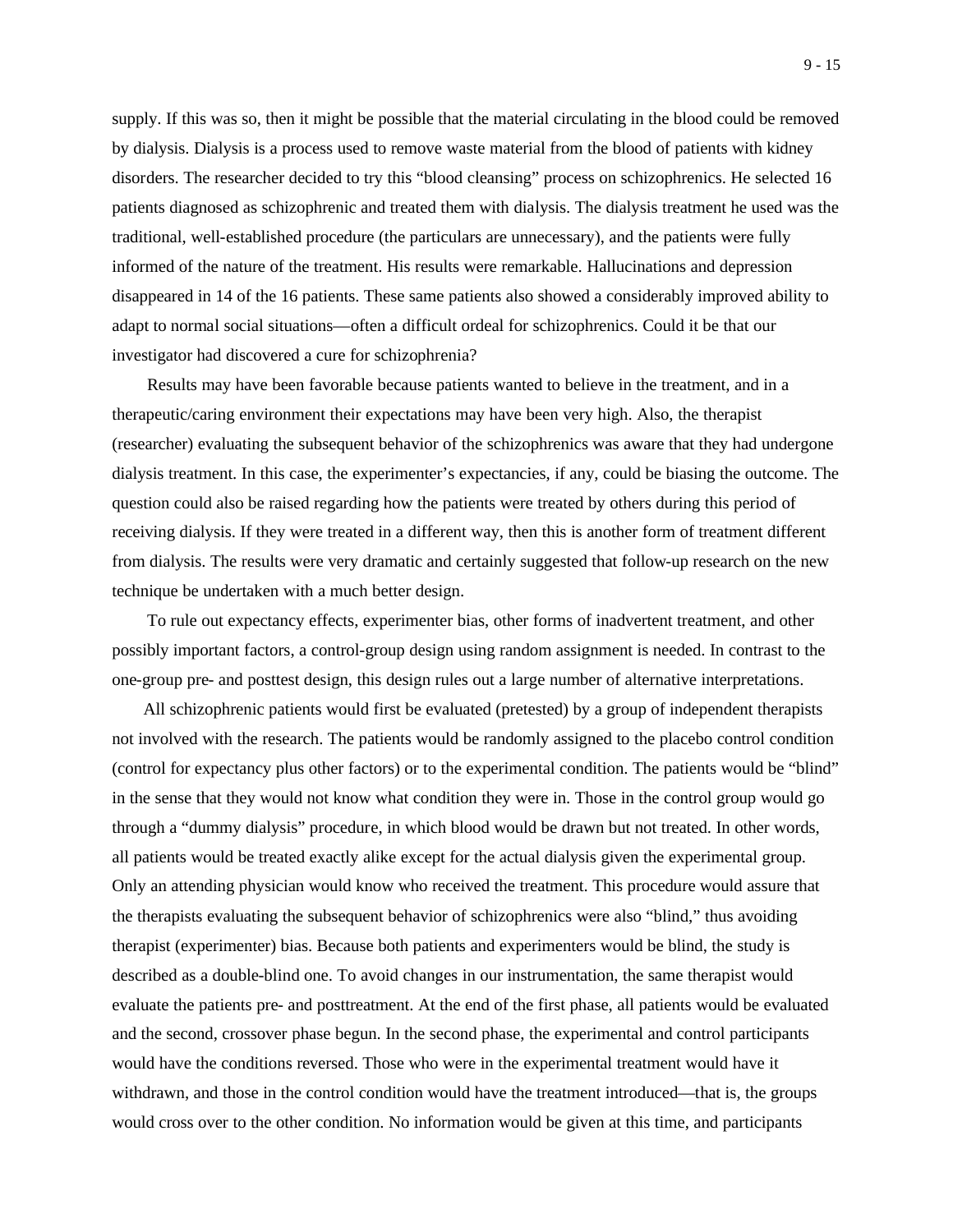supply. If this was so, then it might be possible that the material circulating in the blood could be removed by dialysis. Dialysis is a process used to remove waste material from the blood of patients with kidney disorders. The researcher decided to try this "blood cleansing" process on schizophrenics. He selected 16 patients diagnosed as schizophrenic and treated them with dialysis. The dialysis treatment he used was the traditional, well-established procedure (the particulars are unnecessary), and the patients were fully informed of the nature of the treatment. His results were remarkable. Hallucinations and depression disappeared in 14 of the 16 patients. These same patients also showed a considerably improved ability to adapt to normal social situations—often a difficult ordeal for schizophrenics. Could it be that our investigator had discovered a cure for schizophrenia?

Results may have been favorable because patients wanted to believe in the treatment, and in a therapeutic/caring environment their expectations may have been very high. Also, the therapist (researcher) evaluating the subsequent behavior of the schizophrenics was aware that they had undergone dialysis treatment. In this case, the experimenter's expectancies, if any, could be biasing the outcome. The question could also be raised regarding how the patients were treated by others during this period of receiving dialysis. If they were treated in a different way, then this is another form of treatment different from dialysis. The results were very dramatic and certainly suggested that follow-up research on the new technique be undertaken with a much better design.

To rule out expectancy effects, experimenter bias, other forms of inadvertent treatment, and other possibly important factors, a control-group design using random assignment is needed. In contrast to the one-group pre- and posttest design, this design rules out a large number of alternative interpretations.

All schizophrenic patients would first be evaluated (pretested) by a group of independent therapists not involved with the research. The patients would be randomly assigned to the placebo control condition (control for expectancy plus other factors) or to the experimental condition. The patients would be "blind" in the sense that they would not know what condition they were in. Those in the control group would go through a "dummy dialysis" procedure, in which blood would be drawn but not treated. In other words, all patients would be treated exactly alike except for the actual dialysis given the experimental group. Only an attending physician would know who received the treatment. This procedure would assure that the therapists evaluating the subsequent behavior of schizophrenics were also "blind," thus avoiding therapist (experimenter) bias. Because both patients and experimenters would be blind, the study is described as a double-blind one. To avoid changes in our instrumentation, the same therapist would evaluate the patients pre- and posttreatment. At the end of the first phase, all patients would be evaluated and the second, crossover phase begun. In the second phase, the experimental and control participants would have the conditions reversed. Those who were in the experimental treatment would have it withdrawn, and those in the control condition would have the treatment introduced—that is, the groups would cross over to the other condition. No information would be given at this time, and participants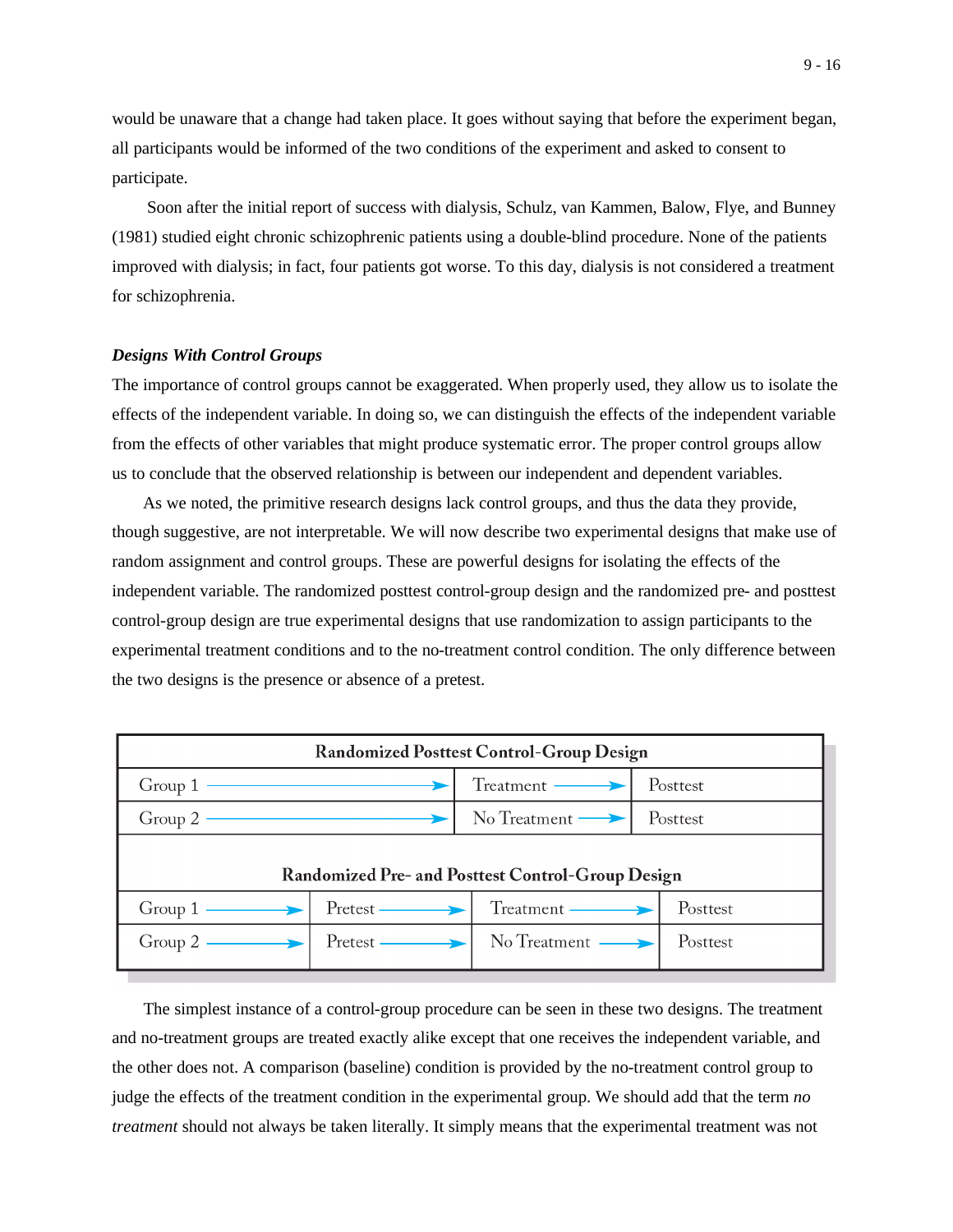would be unaware that a change had taken place. It goes without saying that before the experiment began, all participants would be informed of the two conditions of the experiment and asked to consent to participate.

Soon after the initial report of success with dialysis, Schulz, van Kammen, Balow, Flye, and Bunney (1981) studied eight chronic schizophrenic patients using a double-blind procedure. None of the patients improved with dialysis; in fact, four patients got worse. To this day, dialysis is not considered a treatment for schizophrenia.

#### *Designs With Control Groups*

The importance of control groups cannot be exaggerated. When properly used, they allow us to isolate the effects of the independent variable. In doing so, we can distinguish the effects of the independent variable from the effects of other variables that might produce systematic error. The proper control groups allow us to conclude that the observed relationship is between our independent and dependent variables.

As we noted, the primitive research designs lack control groups, and thus the data they provide, though suggestive, are not interpretable. We will now describe two experimental designs that make use of random assignment and control groups. These are powerful designs for isolating the effects of the independent variable. The randomized posttest control-group design and the randomized pre- and posttest control-group design are true experimental designs that use randomization to assign participants to the experimental treatment conditions and to the no-treatment control condition. The only difference between the two designs is the presence or absence of a pretest.



The simplest instance of a control-group procedure can be seen in these two designs. The treatment and no-treatment groups are treated exactly alike except that one receives the independent variable, and the other does not. A comparison (baseline) condition is provided by the no-treatment control group to judge the effects of the treatment condition in the experimental group. We should add that the term *no treatment* should not always be taken literally. It simply means that the experimental treatment was not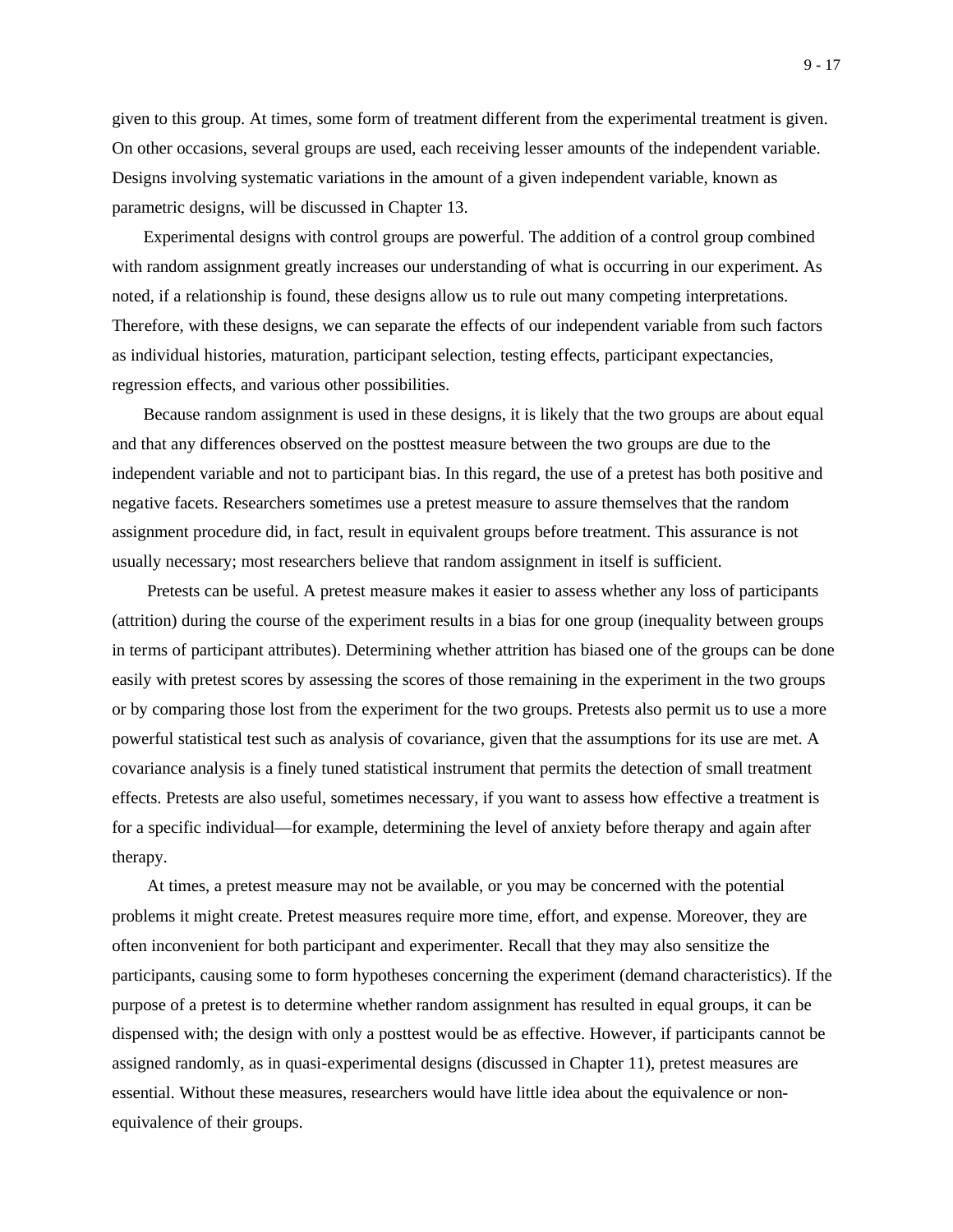given to this group. At times, some form of treatment different from the experimental treatment is given. On other occasions, several groups are used, each receiving lesser amounts of the independent variable. Designs involving systematic variations in the amount of a given independent variable, known as parametric designs, will be discussed in Chapter 13.

Experimental designs with control groups are powerful. The addition of a control group combined with random assignment greatly increases our understanding of what is occurring in our experiment. As noted, if a relationship is found, these designs allow us to rule out many competing interpretations. Therefore, with these designs, we can separate the effects of our independent variable from such factors as individual histories, maturation, participant selection, testing effects, participant expectancies, regression effects, and various other possibilities.

Because random assignment is used in these designs, it is likely that the two groups are about equal and that any differences observed on the posttest measure between the two groups are due to the independent variable and not to participant bias. In this regard, the use of a pretest has both positive and negative facets. Researchers sometimes use a pretest measure to assure themselves that the random assignment procedure did, in fact, result in equivalent groups before treatment. This assurance is not usually necessary; most researchers believe that random assignment in itself is sufficient.

Pretests can be useful. A pretest measure makes it easier to assess whether any loss of participants (attrition) during the course of the experiment results in a bias for one group (inequality between groups in terms of participant attributes). Determining whether attrition has biased one of the groups can be done easily with pretest scores by assessing the scores of those remaining in the experiment in the two groups or by comparing those lost from the experiment for the two groups. Pretests also permit us to use a more powerful statistical test such as analysis of covariance, given that the assumptions for its use are met. A covariance analysis is a finely tuned statistical instrument that permits the detection of small treatment effects. Pretests are also useful, sometimes necessary, if you want to assess how effective a treatment is for a specific individual—for example, determining the level of anxiety before therapy and again after therapy.

At times, a pretest measure may not be available, or you may be concerned with the potential problems it might create. Pretest measures require more time, effort, and expense. Moreover, they are often inconvenient for both participant and experimenter. Recall that they may also sensitize the participants, causing some to form hypotheses concerning the experiment (demand characteristics). If the purpose of a pretest is to determine whether random assignment has resulted in equal groups, it can be dispensed with; the design with only a posttest would be as effective. However, if participants cannot be assigned randomly, as in quasi-experimental designs (discussed in Chapter 11), pretest measures are essential. Without these measures, researchers would have little idea about the equivalence or nonequivalence of their groups.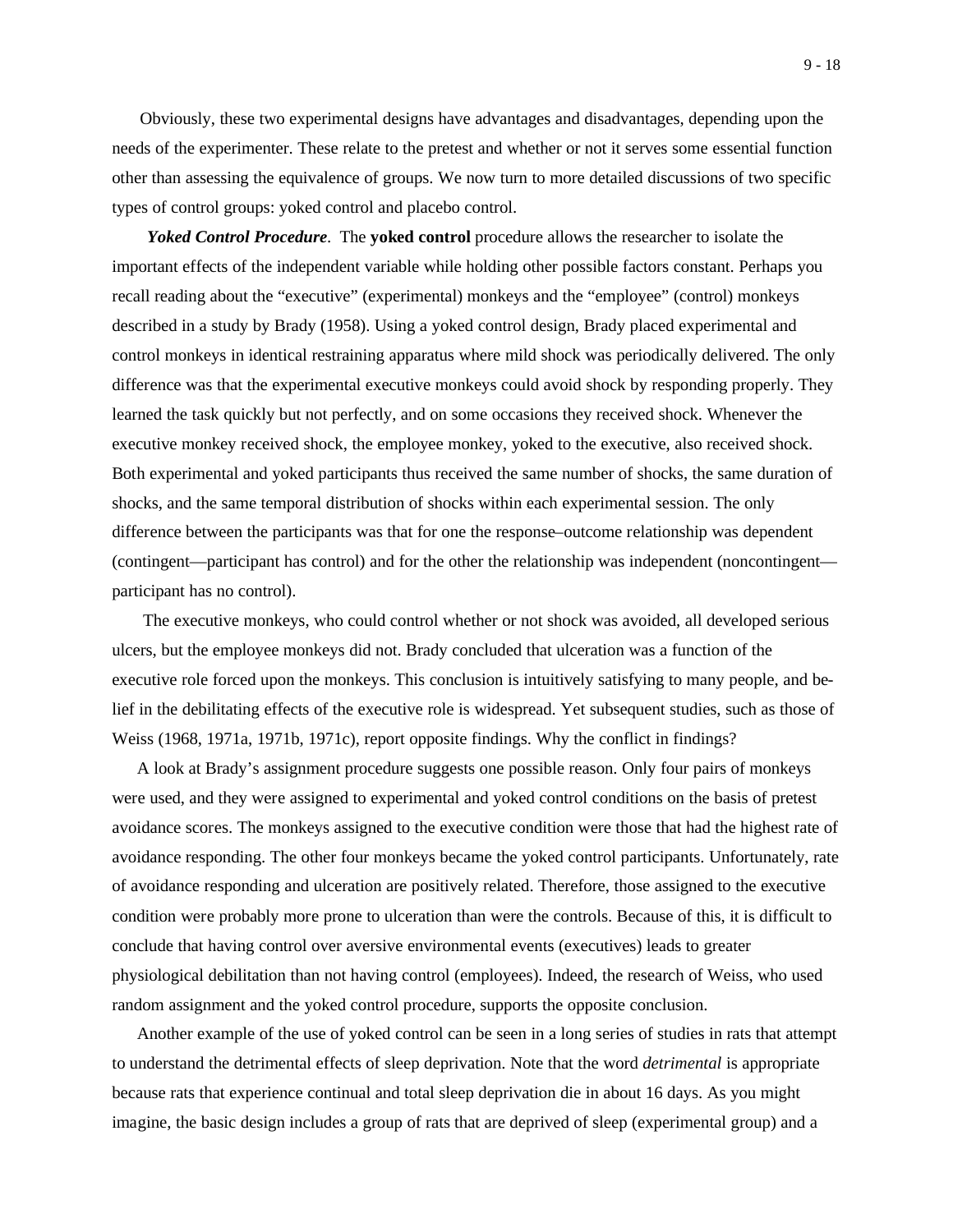Obviously, these two experimental designs have advantages and disadvantages, depending upon the needs of the experimenter. These relate to the pretest and whether or not it serves some essential function other than assessing the equivalence of groups. We now turn to more detailed discussions of two specific types of control groups: yoked control and placebo control.

*Yoked Control Procedure*. The **yoked control** procedure allows the researcher to isolate the important effects of the independent variable while holding other possible factors constant. Perhaps you recall reading about the "executive" (experimental) monkeys and the "employee" (control) monkeys described in a study by Brady (1958). Using a yoked control design, Brady placed experimental and control monkeys in identical restraining apparatus where mild shock was periodically delivered. The only difference was that the experimental executive monkeys could avoid shock by responding properly. They learned the task quickly but not perfectly, and on some occasions they received shock. Whenever the executive monkey received shock, the employee monkey, yoked to the executive, also received shock. Both experimental and yoked participants thus received the same number of shocks, the same duration of shocks, and the same temporal distribution of shocks within each experimental session. The only difference between the participants was that for one the response–outcome relationship was dependent (contingent—participant has control) and for the other the relationship was independent (noncontingent participant has no control).

The executive monkeys, who could control whether or not shock was avoided, all developed serious ulcers, but the employee monkeys did not. Brady concluded that ulceration was a function of the executive role forced upon the monkeys. This conclusion is intuitively satisfying to many people, and belief in the debilitating effects of the executive role is widespread. Yet subsequent studies, such as those of Weiss (1968, 1971a, 1971b, 1971c), report opposite findings. Why the conflict in findings?

A look at Brady's assignment procedure suggests one possible reason. Only four pairs of monkeys were used, and they were assigned to experimental and yoked control conditions on the basis of pretest avoidance scores. The monkeys assigned to the executive condition were those that had the highest rate of avoidance responding. The other four monkeys became the yoked control participants. Unfortunately, rate of avoidance responding and ulceration are positively related. Therefore, those assigned to the executive condition were probably more prone to ulceration than were the controls. Because of this, it is difficult to conclude that having control over aversive environmental events (executives) leads to greater physiological debilitation than not having control (employees). Indeed, the research of Weiss, who used random assignment and the yoked control procedure, supports the opposite conclusion.

Another example of the use of yoked control can be seen in a long series of studies in rats that attempt to understand the detrimental effects of sleep deprivation. Note that the word *detrimental* is appropriate because rats that experience continual and total sleep deprivation die in about 16 days. As you might imagine, the basic design includes a group of rats that are deprived of sleep (experimental group) and a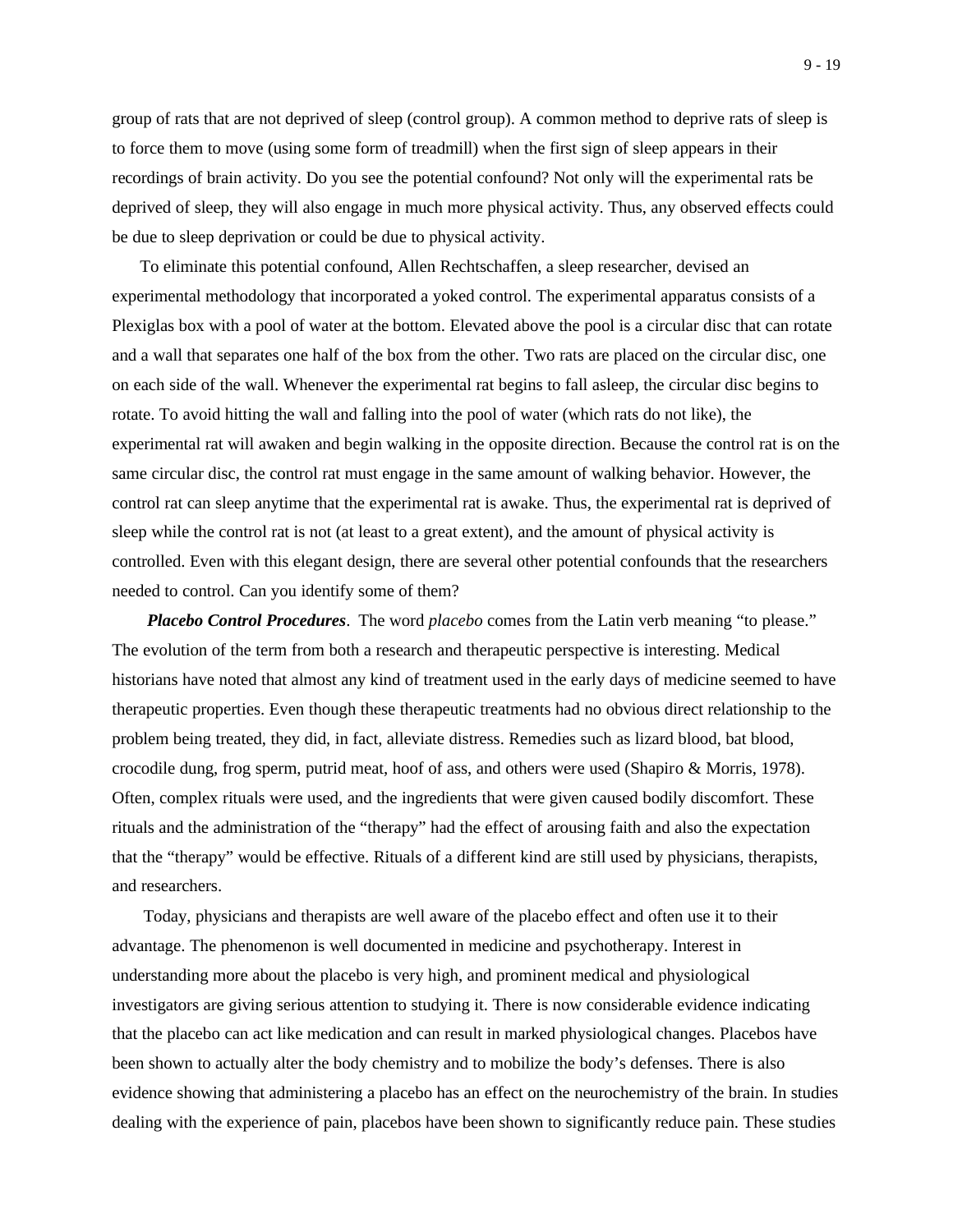group of rats that are not deprived of sleep (control group). A common method to deprive rats of sleep is to force them to move (using some form of treadmill) when the first sign of sleep appears in their recordings of brain activity. Do you see the potential confound? Not only will the experimental rats be deprived of sleep, they will also engage in much more physical activity. Thus, any observed effects could be due to sleep deprivation or could be due to physical activity.

To eliminate this potential confound, Allen Rechtschaffen, a sleep researcher, devised an experimental methodology that incorporated a yoked control. The experimental apparatus consists of a Plexiglas box with a pool of water at the bottom. Elevated above the pool is a circular disc that can rotate and a wall that separates one half of the box from the other. Two rats are placed on the circular disc, one on each side of the wall. Whenever the experimental rat begins to fall asleep, the circular disc begins to rotate. To avoid hitting the wall and falling into the pool of water (which rats do not like), the experimental rat will awaken and begin walking in the opposite direction. Because the control rat is on the same circular disc, the control rat must engage in the same amount of walking behavior. However, the control rat can sleep anytime that the experimental rat is awake. Thus, the experimental rat is deprived of sleep while the control rat is not (at least to a great extent), and the amount of physical activity is controlled. Even with this elegant design, there are several other potential confounds that the researchers needed to control. Can you identify some of them?

*Placebo Control Procedures*. The word *placebo* comes from the Latin verb meaning "to please." The evolution of the term from both a research and therapeutic perspective is interesting. Medical historians have noted that almost any kind of treatment used in the early days of medicine seemed to have therapeutic properties. Even though these therapeutic treatments had no obvious direct relationship to the problem being treated, they did, in fact, alleviate distress. Remedies such as lizard blood, bat blood, crocodile dung, frog sperm, putrid meat, hoof of ass, and others were used (Shapiro & Morris, 1978). Often, complex rituals were used, and the ingredients that were given caused bodily discomfort. These rituals and the administration of the "therapy" had the effect of arousing faith and also the expectation that the "therapy" would be effective. Rituals of a different kind are still used by physicians, therapists, and researchers.

Today, physicians and therapists are well aware of the placebo effect and often use it to their advantage. The phenomenon is well documented in medicine and psychotherapy. Interest in understanding more about the placebo is very high, and prominent medical and physiological investigators are giving serious attention to studying it. There is now considerable evidence indicating that the placebo can act like medication and can result in marked physiological changes. Placebos have been shown to actually alter the body chemistry and to mobilize the body's defenses. There is also evidence showing that administering a placebo has an effect on the neurochemistry of the brain. In studies dealing with the experience of pain, placebos have been shown to significantly reduce pain. These studies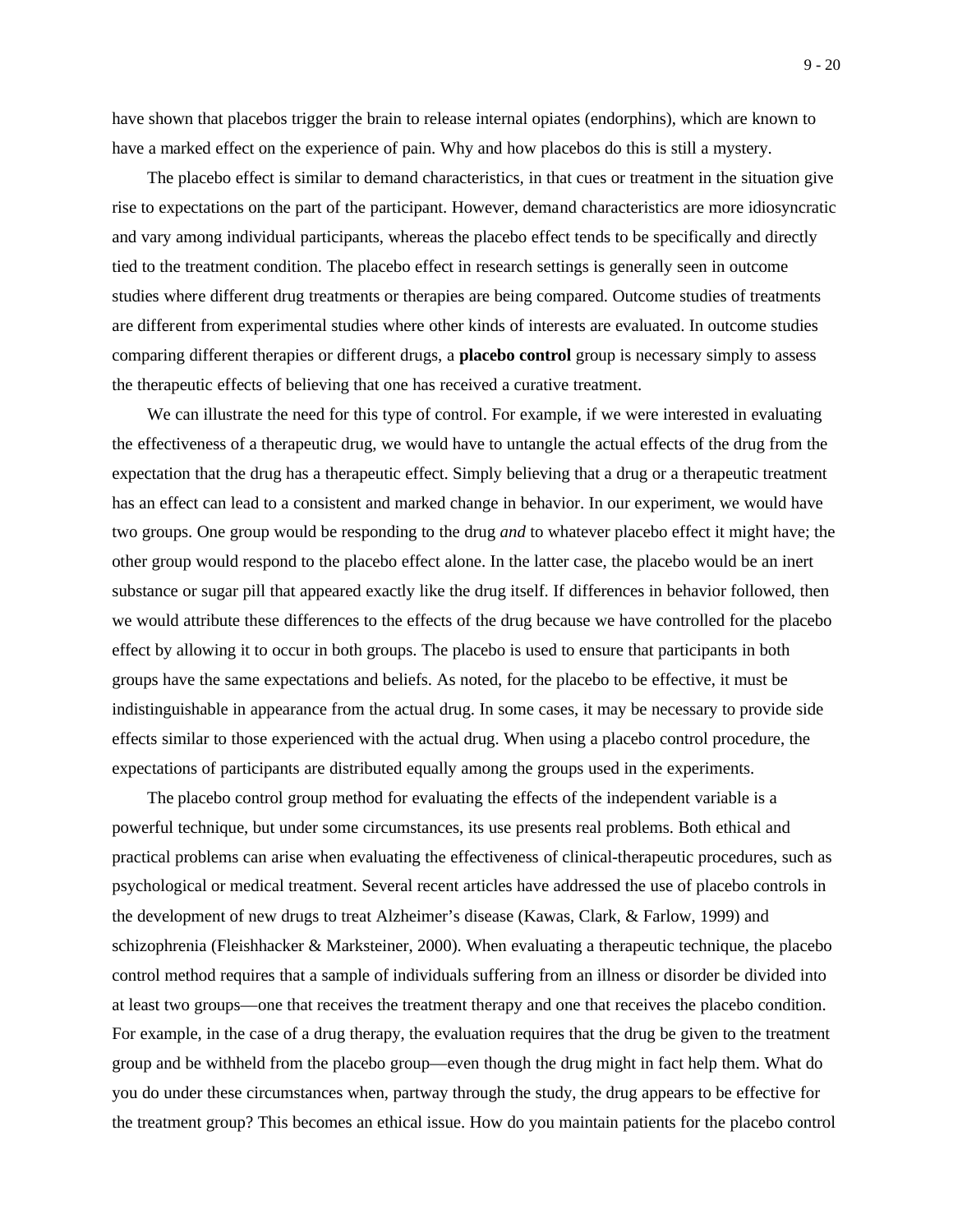have shown that placebos trigger the brain to release internal opiates (endorphins), which are known to have a marked effect on the experience of pain. Why and how placebos do this is still a mystery.

The placebo effect is similar to demand characteristics*,* in that cues or treatment in the situation give rise to expectations on the part of the participant. However, demand characteristics are more idiosyncratic and vary among individual participants, whereas the placebo effect tends to be specifically and directly tied to the treatment condition. The placebo effect in research settings is generally seen in outcome studies where different drug treatments or therapies are being compared. Outcome studies of treatments are different from experimental studies where other kinds of interests are evaluated. In outcome studies comparing different therapies or different drugs, a **placebo control** group is necessary simply to assess the therapeutic effects of believing that one has received a curative treatment.

We can illustrate the need for this type of control. For example, if we were interested in evaluating the effectiveness of a therapeutic drug, we would have to untangle the actual effects of the drug from the expectation that the drug has a therapeutic effect. Simply believing that a drug or a therapeutic treatment has an effect can lead to a consistent and marked change in behavior. In our experiment, we would have two groups. One group would be responding to the drug *and* to whatever placebo effect it might have; the other group would respond to the placebo effect alone. In the latter case, the placebo would be an inert substance or sugar pill that appeared exactly like the drug itself. If differences in behavior followed, then we would attribute these differences to the effects of the drug because we have controlled for the placebo effect by allowing it to occur in both groups. The placebo is used to ensure that participants in both groups have the same expectations and beliefs. As noted, for the placebo to be effective, it must be indistinguishable in appearance from the actual drug. In some cases, it may be necessary to provide side effects similar to those experienced with the actual drug. When using a placebo control procedure, the expectations of participants are distributed equally among the groups used in the experiments.

The placebo control group method for evaluating the effects of the independent variable is a powerful technique, but under some circumstances, its use presents real problems. Both ethical and practical problems can arise when evaluating the effectiveness of clinical-therapeutic procedures, such as psychological or medical treatment. Several recent articles have addressed the use of placebo controls in the development of new drugs to treat Alzheimer's disease (Kawas, Clark, & Farlow, 1999) and schizophrenia (Fleishhacker & Marksteiner, 2000). When evaluating a therapeutic technique, the placebo control method requires that a sample of individuals suffering from an illness or disorder be divided into at least two groups—one that receives the treatment therapy and one that receives the placebo condition. For example, in the case of a drug therapy, the evaluation requires that the drug be given to the treatment group and be withheld from the placebo group—even though the drug might in fact help them. What do you do under these circumstances when, partway through the study, the drug appears to be effective for the treatment group? This becomes an ethical issue. How do you maintain patients for the placebo control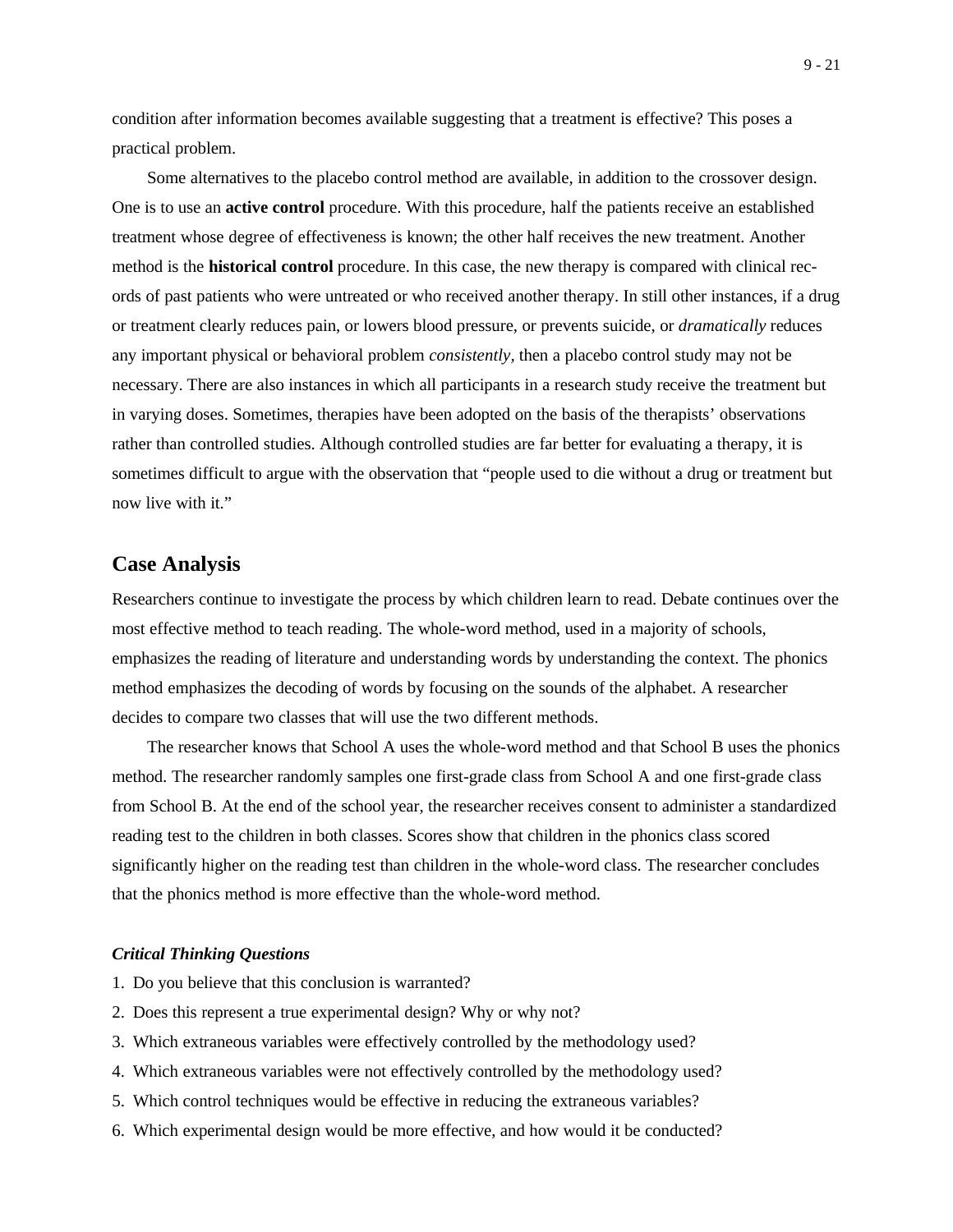condition after information becomes available suggesting that a treatment is effective? This poses a practical problem.

Some alternatives to the placebo control method are available, in addition to the crossover design. One is to use an **active control** procedure. With this procedure, half the patients receive an established treatment whose degree of effectiveness is known; the other half receives the new treatment. Another method is the **historical control** procedure. In this case, the new therapy is compared with clinical records of past patients who were untreated or who received another therapy. In still other instances, if a drug or treatment clearly reduces pain, or lowers blood pressure, or prevents suicide, or *dramatically* reduces any important physical or behavioral problem *consistently,* then a placebo control study may not be necessary. There are also instances in which all participants in a research study receive the treatment but in varying doses. Sometimes, therapies have been adopted on the basis of the therapists' observations rather than controlled studies. Although controlled studies are far better for evaluating a therapy, it is sometimes difficult to argue with the observation that "people used to die without a drug or treatment but now live with it."

## **Case Analysis**

Researchers continue to investigate the process by which children learn to read. Debate continues over the most effective method to teach reading. The whole-word method, used in a majority of schools, emphasizes the reading of literature and understanding words by understanding the context. The phonics method emphasizes the decoding of words by focusing on the sounds of the alphabet. A researcher decides to compare two classes that will use the two different methods.

The researcher knows that School A uses the whole-word method and that School B uses the phonics method. The researcher randomly samples one first-grade class from School A and one first-grade class from School B. At the end of the school year, the researcher receives consent to administer a standardized reading test to the children in both classes. Scores show that children in the phonics class scored significantly higher on the reading test than children in the whole-word class. The researcher concludes that the phonics method is more effective than the whole-word method.

#### *Critical Thinking Questions*

- 1. Do you believe that this conclusion is warranted?
- 2. Does this represent a true experimental design? Why or why not?
- 3. Which extraneous variables were effectively controlled by the methodology used?
- 4. Which extraneous variables were not effectively controlled by the methodology used?
- 5. Which control techniques would be effective in reducing the extraneous variables?
- 6. Which experimental design would be more effective, and how would it be conducted?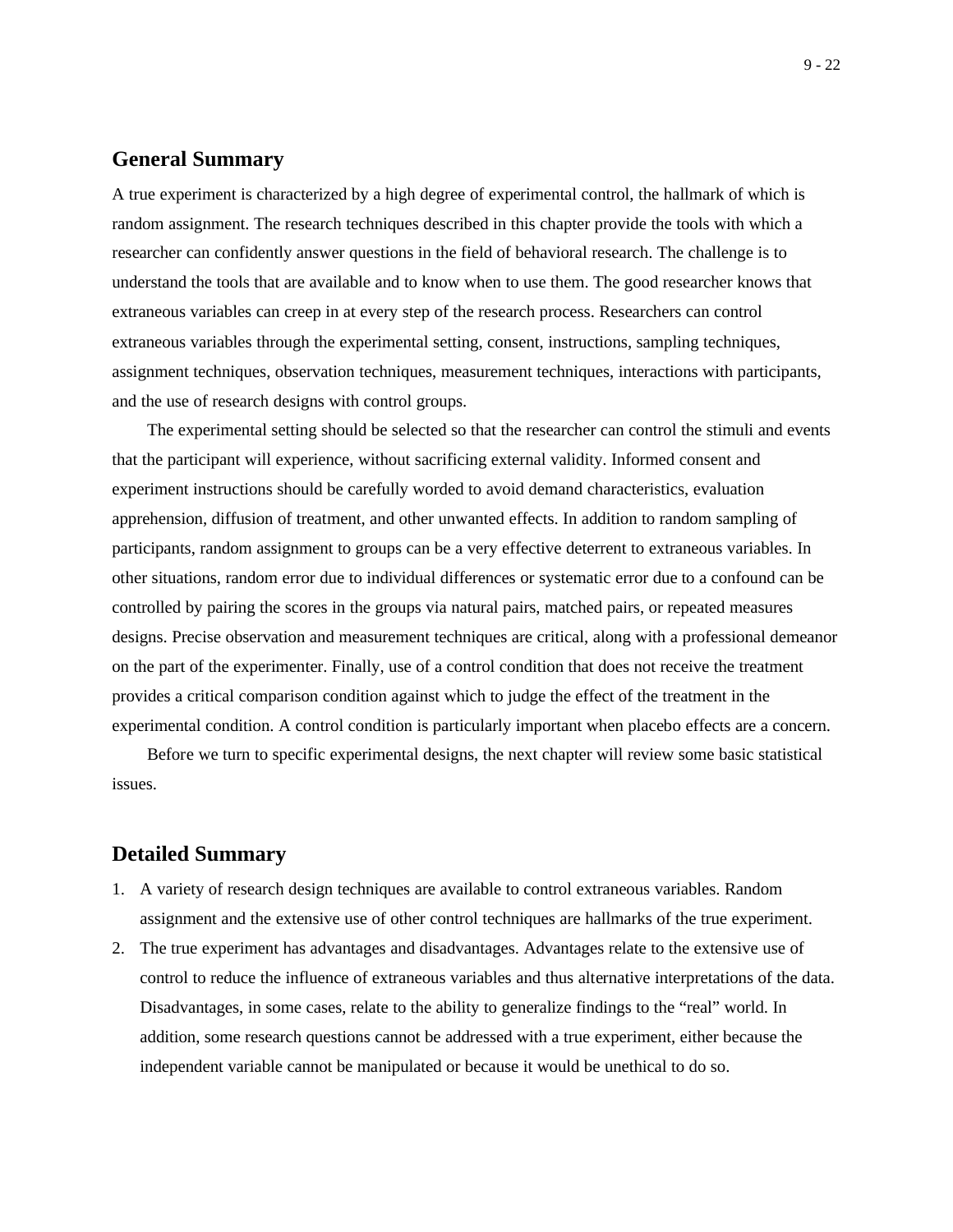## **General Summary**

A true experiment is characterized by a high degree of experimental control, the hallmark of which is random assignment. The research techniques described in this chapter provide the tools with which a researcher can confidently answer questions in the field of behavioral research. The challenge is to understand the tools that are available and to know when to use them. The good researcher knows that extraneous variables can creep in at every step of the research process. Researchers can control extraneous variables through the experimental setting, consent, instructions, sampling techniques, assignment techniques, observation techniques, measurement techniques, interactions with participants, and the use of research designs with control groups.

The experimental setting should be selected so that the researcher can control the stimuli and events that the participant will experience, without sacrificing external validity. Informed consent and experiment instructions should be carefully worded to avoid demand characteristics, evaluation apprehension, diffusion of treatment, and other unwanted effects. In addition to random sampling of participants, random assignment to groups can be a very effective deterrent to extraneous variables. In other situations, random error due to individual differences or systematic error due to a confound can be controlled by pairing the scores in the groups via natural pairs, matched pairs, or repeated measures designs. Precise observation and measurement techniques are critical, along with a professional demeanor on the part of the experimenter. Finally, use of a control condition that does not receive the treatment provides a critical comparison condition against which to judge the effect of the treatment in the experimental condition. A control condition is particularly important when placebo effects are a concern.

Before we turn to specific experimental designs, the next chapter will review some basic statistical issues.

# **Detailed Summary**

- 1. A variety of research design techniques are available to control extraneous variables. Random assignment and the extensive use of other control techniques are hallmarks of the true experiment.
- 2. The true experiment has advantages and disadvantages. Advantages relate to the extensive use of control to reduce the influence of extraneous variables and thus alternative interpretations of the data. Disadvantages, in some cases, relate to the ability to generalize findings to the "real" world. In addition, some research questions cannot be addressed with a true experiment, either because the independent variable cannot be manipulated or because it would be unethical to do so.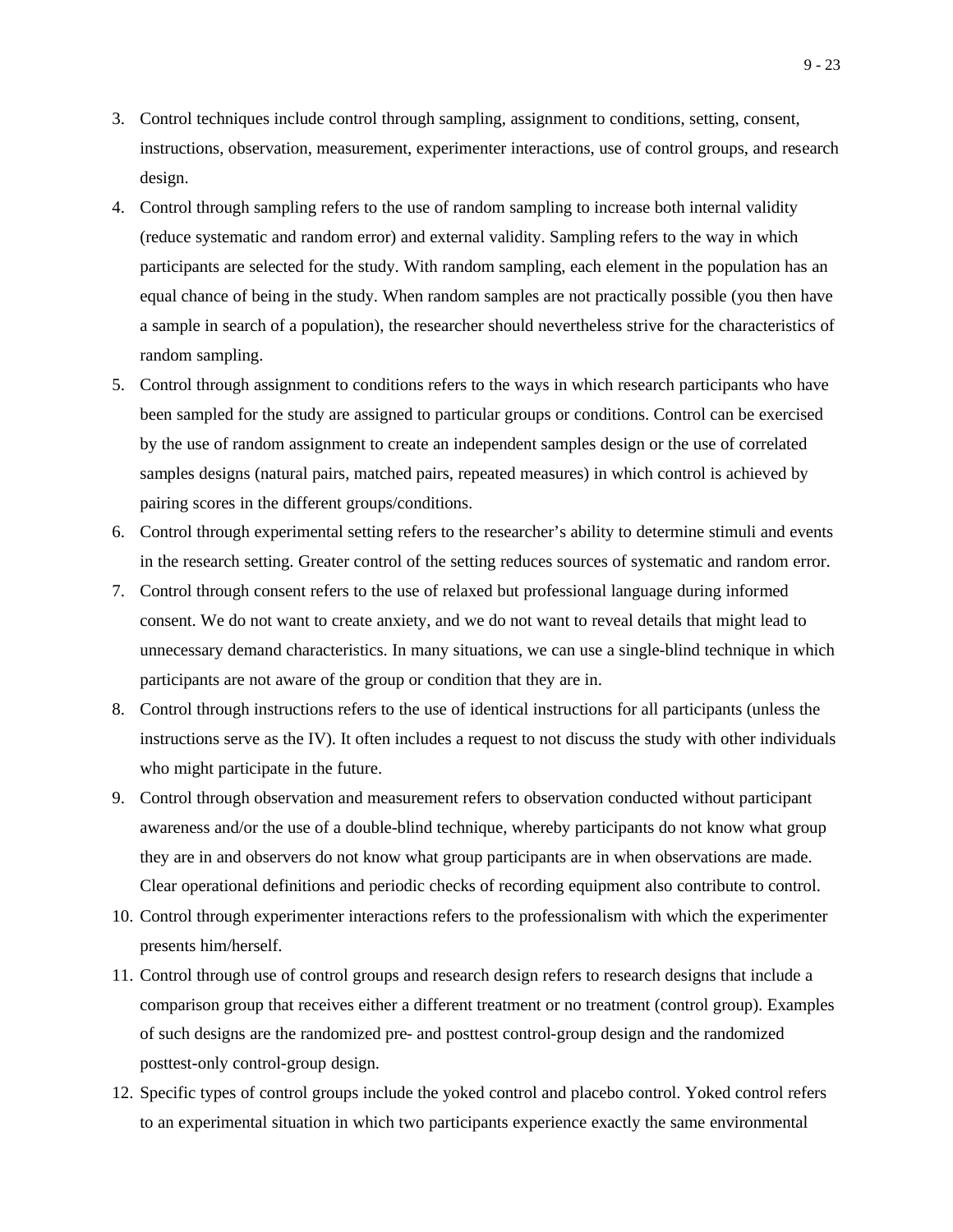- 3. Control techniques include control through sampling, assignment to conditions, setting, consent, instructions, observation, measurement, experimenter interactions, use of control groups, and research design.
- 4. Control through sampling refers to the use of random sampling to increase both internal validity (reduce systematic and random error) and external validity. Sampling refers to the way in which participants are selected for the study. With random sampling, each element in the population has an equal chance of being in the study. When random samples are not practically possible (you then have a sample in search of a population), the researcher should nevertheless strive for the characteristics of random sampling.
- 5. Control through assignment to conditions refers to the ways in which research participants who have been sampled for the study are assigned to particular groups or conditions. Control can be exercised by the use of random assignment to create an independent samples design or the use of correlated samples designs (natural pairs, matched pairs, repeated measures) in which control is achieved by pairing scores in the different groups/conditions.
- 6. Control through experimental setting refers to the researcher's ability to determine stimuli and events in the research setting. Greater control of the setting reduces sources of systematic and random error.
- 7. Control through consent refers to the use of relaxed but professional language during informed consent. We do not want to create anxiety, and we do not want to reveal details that might lead to unnecessary demand characteristics. In many situations, we can use a single-blind technique in which participants are not aware of the group or condition that they are in.
- 8. Control through instructions refers to the use of identical instructions for all participants (unless the instructions serve as the IV). It often includes a request to not discuss the study with other individuals who might participate in the future.
- 9. Control through observation and measurement refers to observation conducted without participant awareness and/or the use of a double-blind technique, whereby participants do not know what group they are in and observers do not know what group participants are in when observations are made. Clear operational definitions and periodic checks of recording equipment also contribute to control.
- 10. Control through experimenter interactions refers to the professionalism with which the experimenter presents him/herself.
- 11. Control through use of control groups and research design refers to research designs that include a comparison group that receives either a different treatment or no treatment (control group). Examples of such designs are the randomized pre- and posttest control-group design and the randomized posttest-only control-group design.
- 12. Specific types of control groups include the yoked control and placebo control. Yoked control refers to an experimental situation in which two participants experience exactly the same environmental